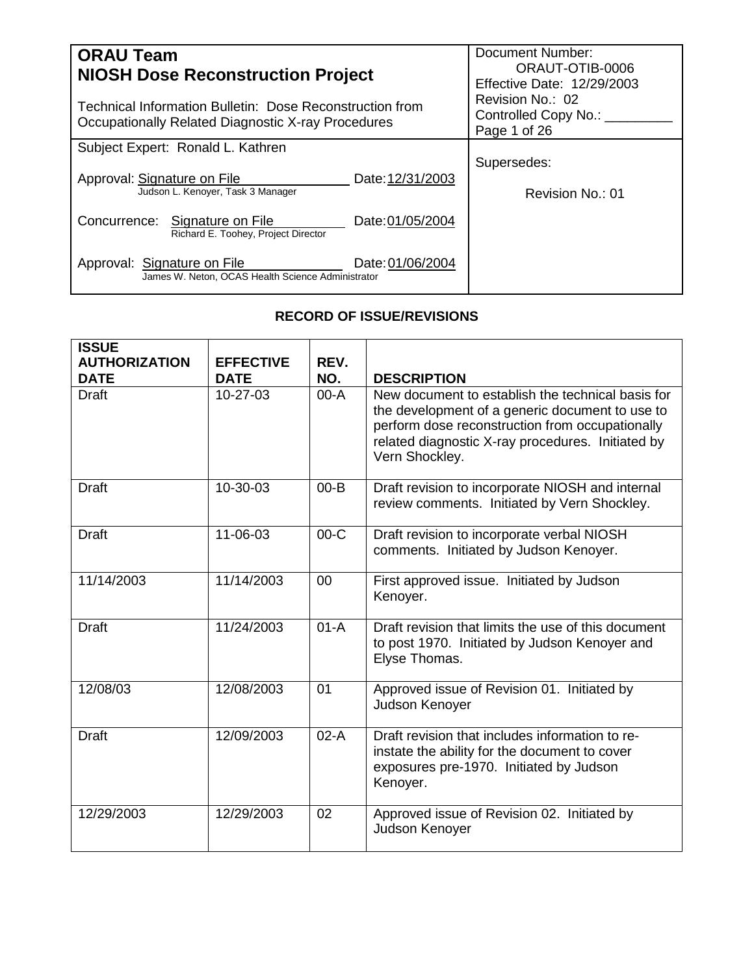| <b>ORAU Team</b><br><b>NIOSH Dose Reconstruction Project</b>                                                   | Document Number:<br>ORAUT-OTIB-0006<br>Effective Date: 12/29/2003 |                                                              |
|----------------------------------------------------------------------------------------------------------------|-------------------------------------------------------------------|--------------------------------------------------------------|
| Technical Information Bulletin: Dose Reconstruction from<br>Occupationally Related Diagnostic X-ray Procedures |                                                                   | Revision No.: 02<br>Controlled Copy No.: ___<br>Page 1 of 26 |
| Subject Expert: Ronald L. Kathren                                                                              |                                                                   |                                                              |
| Approval: Signature on File<br>Judson L. Kenoyer, Task 3 Manager                                               | Date: 12/31/2003                                                  | Supersedes:<br>Revision No.: 01                              |
| Concurrence: Signature on File<br>Richard E. Toohey, Project Director                                          | Date: 01/05/2004                                                  |                                                              |
| Approval: Signature on File<br>James W. Neton, OCAS Health Science Administrator                               | Date: 01/06/2004                                                  |                                                              |

# **RECORD OF ISSUE/REVISIONS**

<span id="page-0-0"></span>

| <b>ISSUE</b>                        |                                 |             |                                                                                                                                                                                                                                |
|-------------------------------------|---------------------------------|-------------|--------------------------------------------------------------------------------------------------------------------------------------------------------------------------------------------------------------------------------|
| <b>AUTHORIZATION</b><br><b>DATE</b> | <b>EFFECTIVE</b><br><b>DATE</b> | REV.<br>NO. | <b>DESCRIPTION</b>                                                                                                                                                                                                             |
| <b>Draft</b>                        | 10-27-03                        | $00-A$      | New document to establish the technical basis for<br>the development of a generic document to use to<br>perform dose reconstruction from occupationally<br>related diagnostic X-ray procedures. Initiated by<br>Vern Shockley. |
| <b>Draft</b>                        | 10-30-03                        | $00 - B$    | Draft revision to incorporate NIOSH and internal<br>review comments. Initiated by Vern Shockley.                                                                                                                               |
| <b>Draft</b>                        | 11-06-03                        | $00-C$      | Draft revision to incorporate verbal NIOSH<br>comments. Initiated by Judson Kenoyer.                                                                                                                                           |
| 11/14/2003                          | 11/14/2003                      | 00          | First approved issue. Initiated by Judson<br>Kenoyer.                                                                                                                                                                          |
| <b>Draft</b>                        | 11/24/2003                      | $01-A$      | Draft revision that limits the use of this document<br>to post 1970. Initiated by Judson Kenoyer and<br>Elyse Thomas.                                                                                                          |
| 12/08/03                            | 12/08/2003                      | 01          | Approved issue of Revision 01. Initiated by<br>Judson Kenoyer                                                                                                                                                                  |
| <b>Draft</b>                        | 12/09/2003                      | $02-A$      | Draft revision that includes information to re-<br>instate the ability for the document to cover<br>exposures pre-1970. Initiated by Judson<br>Kenoyer.                                                                        |
| 12/29/2003                          | 12/29/2003                      | 02          | Approved issue of Revision 02. Initiated by<br>Judson Kenoyer                                                                                                                                                                  |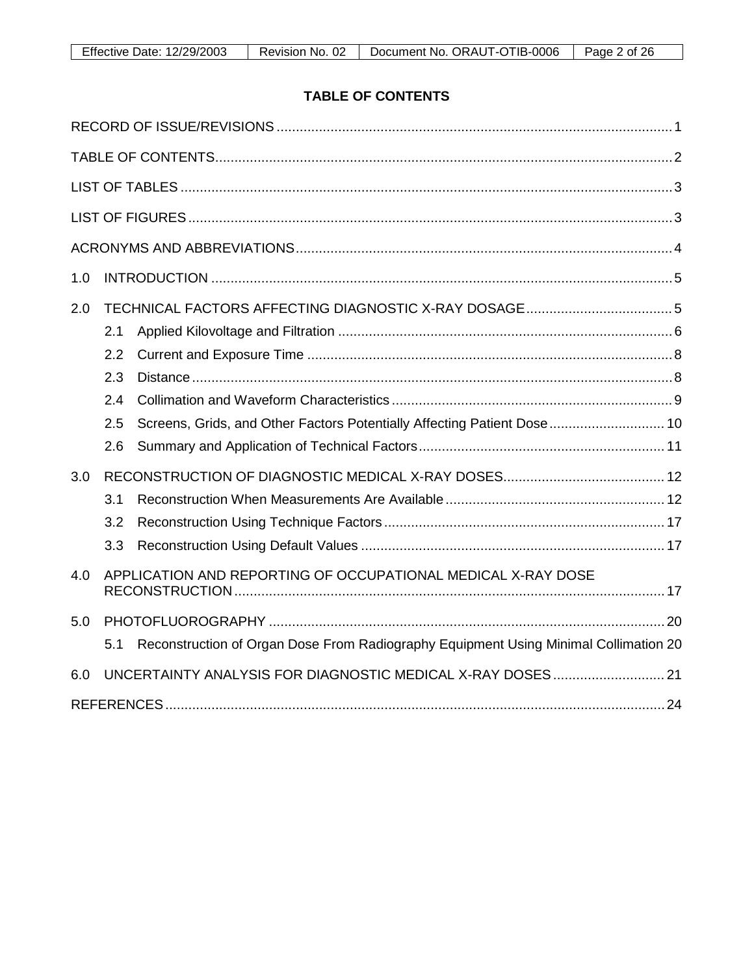# **TABLE OF CONTENTS**

<span id="page-1-0"></span>

| 1.0 |     |                                                                                      |  |
|-----|-----|--------------------------------------------------------------------------------------|--|
| 2.0 |     |                                                                                      |  |
|     | 2.1 |                                                                                      |  |
|     | 2.2 |                                                                                      |  |
|     | 2.3 |                                                                                      |  |
|     | 2.4 |                                                                                      |  |
|     | 2.5 | Screens, Grids, and Other Factors Potentially Affecting Patient Dose  10             |  |
|     | 2.6 |                                                                                      |  |
| 3.0 |     |                                                                                      |  |
|     | 3.1 |                                                                                      |  |
|     | 3.2 |                                                                                      |  |
|     | 3.3 |                                                                                      |  |
| 4.0 |     | APPLICATION AND REPORTING OF OCCUPATIONAL MEDICAL X-RAY DOSE                         |  |
| 5.0 |     |                                                                                      |  |
|     | 5.1 | Reconstruction of Organ Dose From Radiography Equipment Using Minimal Collimation 20 |  |
| 6.0 |     | UNCERTAINTY ANALYSIS FOR DIAGNOSTIC MEDICAL X-RAY DOSES 21                           |  |
|     |     |                                                                                      |  |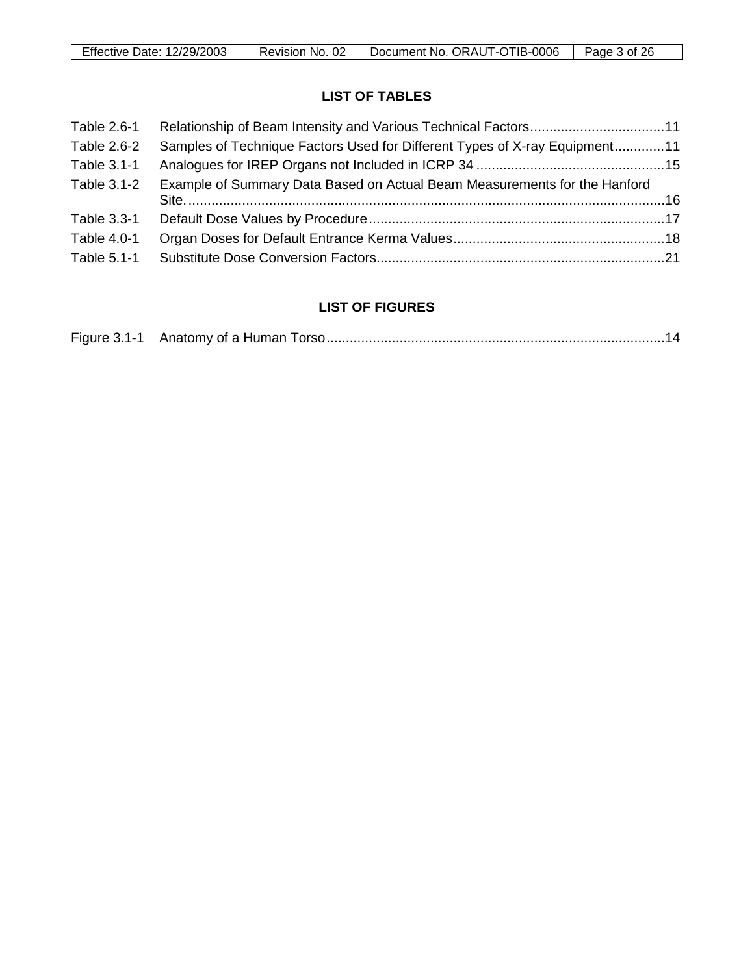# **LIST OF TABLES**

<span id="page-2-0"></span>

| Table 2.6-1 |                                                                            |  |
|-------------|----------------------------------------------------------------------------|--|
| Table 2.6-2 | Samples of Technique Factors Used for Different Types of X-ray Equipment11 |  |
| Table 3.1-1 |                                                                            |  |
| Table 3.1-2 | Example of Summary Data Based on Actual Beam Measurements for the Hanford  |  |
| Table 3.3-1 |                                                                            |  |
| Table 4.0-1 |                                                                            |  |
| Table 5.1-1 |                                                                            |  |

# **LIST OF FIGURES**

<span id="page-2-1"></span>

|--|--|--|--|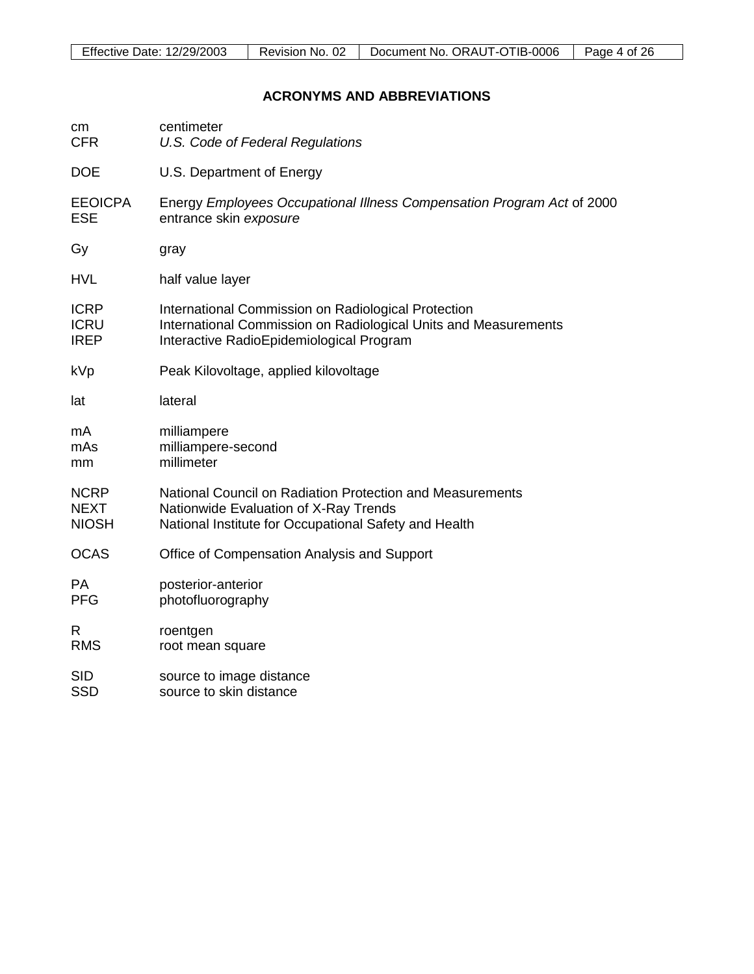# **ACRONYMS AND ABBREVIATIONS**

<span id="page-3-0"></span>

| cm             | centimeter                                                             |
|----------------|------------------------------------------------------------------------|
| <b>CFR</b>     | U.S. Code of Federal Regulations                                       |
| <b>DOE</b>     | U.S. Department of Energy                                              |
| <b>EEOICPA</b> | Energy Employees Occupational Illness Compensation Program Act of 2000 |
| <b>ESE</b>     | entrance skin exposure                                                 |
| Gy             | gray                                                                   |
| <b>HVL</b>     | half value layer                                                       |
| <b>ICRP</b>    | International Commission on Radiological Protection                    |
| <b>ICRU</b>    | International Commission on Radiological Units and Measurements        |
| <b>IREP</b>    | Interactive RadioEpidemiological Program                               |
| kVp            | Peak Kilovoltage, applied kilovoltage                                  |
| lat            | lateral                                                                |
| mA             | milliampere                                                            |
| mAs            | milliampere-second                                                     |
| mm             | millimeter                                                             |
| <b>NCRP</b>    | National Council on Radiation Protection and Measurements              |
| <b>NEXT</b>    | Nationwide Evaluation of X-Ray Trends                                  |
| <b>NIOSH</b>   | National Institute for Occupational Safety and Health                  |
| <b>OCAS</b>    | Office of Compensation Analysis and Support                            |
| PA             | posterior-anterior                                                     |
| <b>PFG</b>     | photofluorography                                                      |
| R              | roentgen                                                               |
| <b>RMS</b>     | root mean square                                                       |
| <b>SID</b>     | source to image distance                                               |
| <b>SSD</b>     | source to skin distance                                                |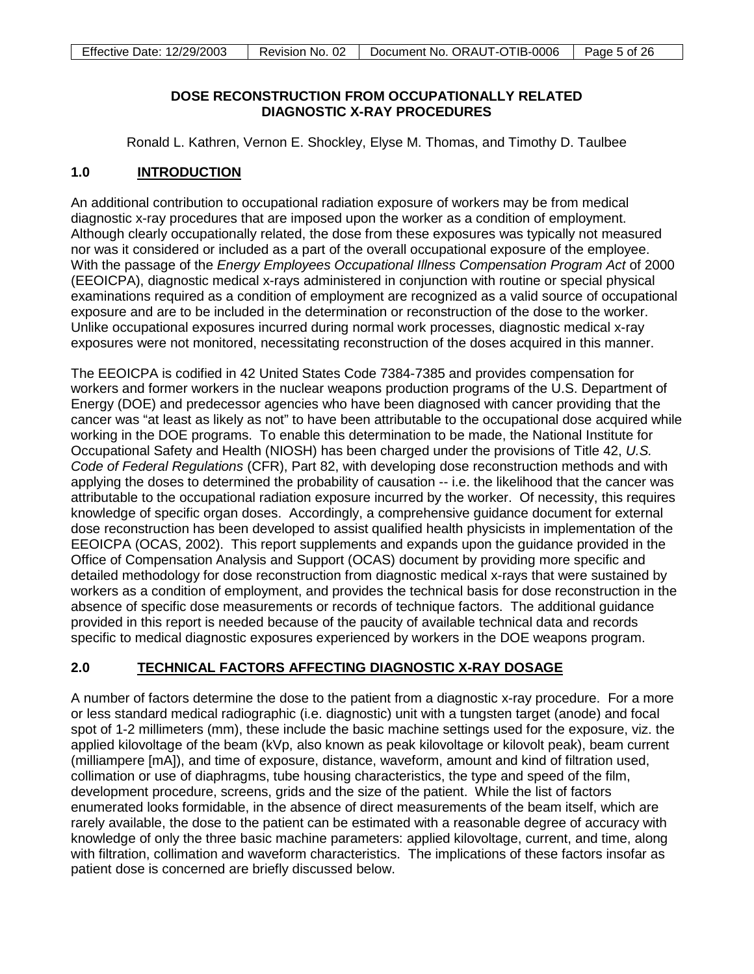### **DOSE RECONSTRUCTION FROM OCCUPATIONALLY RELATED DIAGNOSTIC X-RAY PROCEDURES**

Ronald L. Kathren, Vernon E. Shockley, Elyse M. Thomas, and Timothy D. Taulbee

#### <span id="page-4-0"></span>**1.0 INTRODUCTION**

An additional contribution to occupational radiation exposure of workers may be from medical diagnostic x-ray procedures that are imposed upon the worker as a condition of employment. Although clearly occupationally related, the dose from these exposures was typically not measured nor was it considered or included as a part of the overall occupational exposure of the employee. With the passage of the *Energy Employees Occupational Illness Compensation Program Act* of 2000 (EEOICPA), diagnostic medical x-rays administered in conjunction with routine or special physical examinations required as a condition of employment are recognized as a valid source of occupational exposure and are to be included in the determination or reconstruction of the dose to the worker. Unlike occupational exposures incurred during normal work processes, diagnostic medical x-ray exposures were not monitored, necessitating reconstruction of the doses acquired in this manner.

The EEOICPA is codified in 42 United States Code 7384-7385 and provides compensation for workers and former workers in the nuclear weapons production programs of the U.S. Department of Energy (DOE) and predecessor agencies who have been diagnosed with cancer providing that the cancer was "at least as likely as not" to have been attributable to the occupational dose acquired while working in the DOE programs. To enable this determination to be made, the National Institute for Occupational Safety and Health (NIOSH) has been charged under the provisions of Title 42, *U.S. Code of Federal Regulations* (CFR), Part 82, with developing dose reconstruction methods and with applying the doses to determined the probability of causation -- i.e. the likelihood that the cancer was attributable to the occupational radiation exposure incurred by the worker. Of necessity, this requires knowledge of specific organ doses. Accordingly, a comprehensive guidance document for external dose reconstruction has been developed to assist qualified health physicists in implementation of the EEOICPA (OCAS, 2002). This report supplements and expands upon the guidance provided in the Office of Compensation Analysis and Support (OCAS) document by providing more specific and detailed methodology for dose reconstruction from diagnostic medical x-rays that were sustained by workers as a condition of employment, and provides the technical basis for dose reconstruction in the absence of specific dose measurements or records of technique factors. The additional guidance provided in this report is needed because of the paucity of available technical data and records specific to medical diagnostic exposures experienced by workers in the DOE weapons program.

#### <span id="page-4-1"></span>**2.0 TECHNICAL FACTORS AFFECTING DIAGNOSTIC X-RAY DOSAGE**

A number of factors determine the dose to the patient from a diagnostic x-ray procedure. For a more or less standard medical radiographic (i.e. diagnostic) unit with a tungsten target (anode) and focal spot of 1-2 millimeters (mm), these include the basic machine settings used for the exposure, viz. the applied kilovoltage of the beam (kVp, also known as peak kilovoltage or kilovolt peak), beam current (milliampere [mA]), and time of exposure, distance, waveform, amount and kind of filtration used, collimation or use of diaphragms, tube housing characteristics, the type and speed of the film, development procedure, screens, grids and the size of the patient. While the list of factors enumerated looks formidable, in the absence of direct measurements of the beam itself, which are rarely available, the dose to the patient can be estimated with a reasonable degree of accuracy with knowledge of only the three basic machine parameters: applied kilovoltage, current, and time, along with filtration, collimation and waveform characteristics. The implications of these factors insofar as patient dose is concerned are briefly discussed below.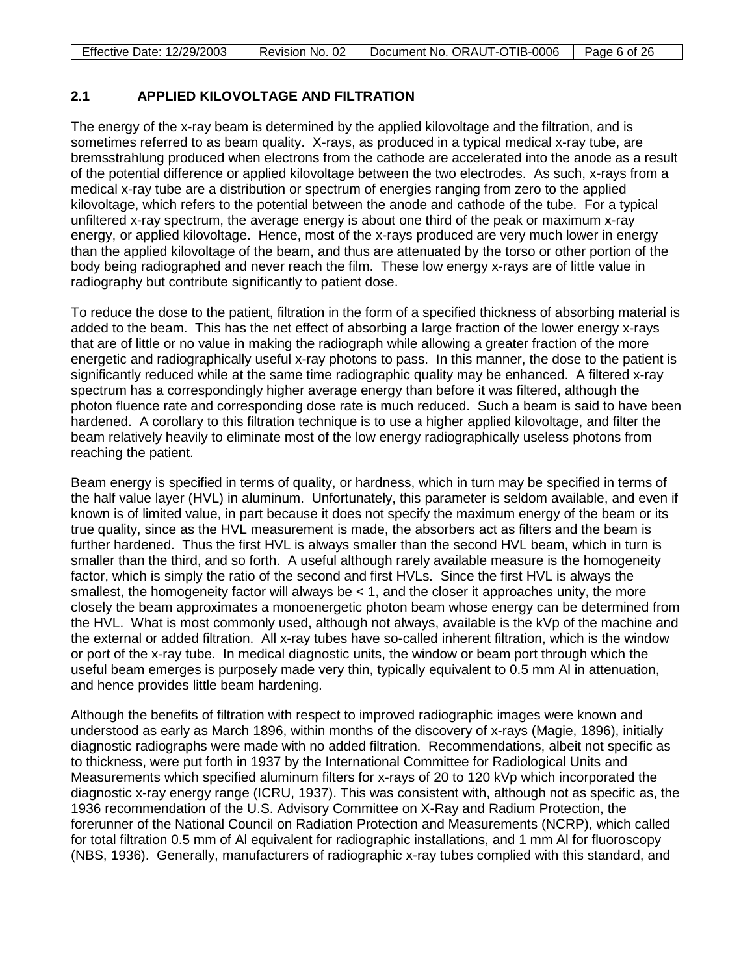# <span id="page-5-0"></span>**2.1 APPLIED KILOVOLTAGE AND FILTRATION**

The energy of the x-ray beam is determined by the applied kilovoltage and the filtration, and is sometimes referred to as beam quality. X-rays, as produced in a typical medical x-ray tube, are bremsstrahlung produced when electrons from the cathode are accelerated into the anode as a result of the potential difference or applied kilovoltage between the two electrodes. As such, x-rays from a medical x-ray tube are a distribution or spectrum of energies ranging from zero to the applied kilovoltage, which refers to the potential between the anode and cathode of the tube. For a typical unfiltered x-ray spectrum, the average energy is about one third of the peak or maximum x-ray energy, or applied kilovoltage. Hence, most of the x-rays produced are very much lower in energy than the applied kilovoltage of the beam, and thus are attenuated by the torso or other portion of the body being radiographed and never reach the film. These low energy x-rays are of little value in radiography but contribute significantly to patient dose.

To reduce the dose to the patient, filtration in the form of a specified thickness of absorbing material is added to the beam. This has the net effect of absorbing a large fraction of the lower energy x-rays that are of little or no value in making the radiograph while allowing a greater fraction of the more energetic and radiographically useful x-ray photons to pass. In this manner, the dose to the patient is significantly reduced while at the same time radiographic quality may be enhanced. A filtered x-ray spectrum has a correspondingly higher average energy than before it was filtered, although the photon fluence rate and corresponding dose rate is much reduced. Such a beam is said to have been hardened. A corollary to this filtration technique is to use a higher applied kilovoltage, and filter the beam relatively heavily to eliminate most of the low energy radiographically useless photons from reaching the patient.

Beam energy is specified in terms of quality, or hardness, which in turn may be specified in terms of the half value layer (HVL) in aluminum. Unfortunately, this parameter is seldom available, and even if known is of limited value, in part because it does not specify the maximum energy of the beam or its true quality, since as the HVL measurement is made, the absorbers act as filters and the beam is further hardened. Thus the first HVL is always smaller than the second HVL beam, which in turn is smaller than the third, and so forth. A useful although rarely available measure is the homogeneity factor, which is simply the ratio of the second and first HVLs. Since the first HVL is always the smallest, the homogeneity factor will always be  $<$  1, and the closer it approaches unity, the more closely the beam approximates a monoenergetic photon beam whose energy can be determined from the HVL. What is most commonly used, although not always, available is the kVp of the machine and the external or added filtration. All x-ray tubes have so-called inherent filtration, which is the window or port of the x-ray tube. In medical diagnostic units, the window or beam port through which the useful beam emerges is purposely made very thin, typically equivalent to 0.5 mm Al in attenuation, and hence provides little beam hardening.

Although the benefits of filtration with respect to improved radiographic images were known and understood as early as March 1896, within months of the discovery of x-rays (Magie, 1896), initially diagnostic radiographs were made with no added filtration. Recommendations, albeit not specific as to thickness, were put forth in 1937 by the International Committee for Radiological Units and Measurements which specified aluminum filters for x-rays of 20 to 120 kVp which incorporated the diagnostic x-ray energy range (ICRU, 1937). This was consistent with, although not as specific as, the 1936 recommendation of the U.S. Advisory Committee on X-Ray and Radium Protection, the forerunner of the National Council on Radiation Protection and Measurements (NCRP), which called for total filtration 0.5 mm of Al equivalent for radiographic installations, and 1 mm Al for fluoroscopy (NBS, 1936). Generally, manufacturers of radiographic x-ray tubes complied with this standard, and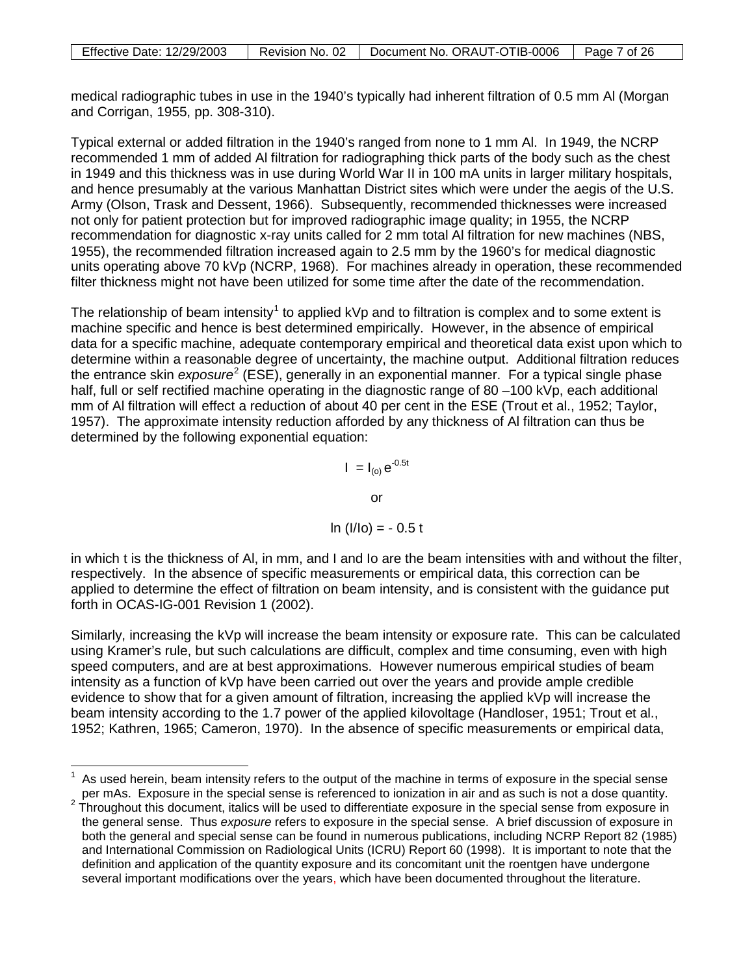| <b>Effective Date: 12/29/2003</b> | Revision No. 02 | Document No. ORAUT-OTIB-0006 | Page 7 of 26 |
|-----------------------------------|-----------------|------------------------------|--------------|

medical radiographic tubes in use in the 1940's typically had inherent filtration of 0.5 mm Al (Morgan and Corrigan, 1955, pp. 308-310).

Typical external or added filtration in the 1940's ranged from none to 1 mm Al. In 1949, the NCRP recommended 1 mm of added Al filtration for radiographing thick parts of the body such as the chest in 1949 and this thickness was in use during World War II in 100 mA units in larger military hospitals, and hence presumably at the various Manhattan District sites which were under the aegis of the U.S. Army (Olson, Trask and Dessent, 1966). Subsequently, recommended thicknesses were increased not only for patient protection but for improved radiographic image quality; in 1955, the NCRP recommendation for diagnostic x-ray units called for 2 mm total Al filtration for new machines (NBS, 1955), the recommended filtration increased again to 2.5 mm by the 1960's for medical diagnostic units operating above 70 kVp (NCRP, 1968). For machines already in operation, these recommended filter thickness might not have been utilized for some time after the date of the recommendation.

The relationship of beam intensity<sup>[1](#page-6-0)</sup> to applied kVp and to filtration is complex and to some extent is machine specific and hence is best determined empirically. However, in the absence of empirical data for a specific machine, adequate contemporary empirical and theoretical data exist upon which to determine within a reasonable degree of uncertainty, the machine output. Additional filtration reduces the entrance skin *exposure*<sup>[2](#page-6-1)</sup> (ESE), generally in an exponential manner. For a typical single phase half, full or self rectified machine operating in the diagnostic range of 80 –100 kVp, each additional mm of Al filtration will effect a reduction of about 40 per cent in the ESE (Trout et al., 1952; Taylor, 1957). The approximate intensity reduction afforded by any thickness of Al filtration can thus be determined by the following exponential equation:

$$
I = I_{(o)} e^{-0.5t}
$$
  
or  

$$
\ln (1/lo) = -0.5 t
$$

in which t is the thickness of Al, in mm, and I and Io are the beam intensities with and without the filter, respectively. In the absence of specific measurements or empirical data, this correction can be applied to determine the effect of filtration on beam intensity, and is consistent with the guidance put forth in OCAS-IG-001 Revision 1 (2002).

Similarly, increasing the kVp will increase the beam intensity or exposure rate. This can be calculated using Kramer's rule, but such calculations are difficult, complex and time consuming, even with high speed computers, and are at best approximations. However numerous empirical studies of beam intensity as a function of kVp have been carried out over the years and provide ample credible evidence to show that for a given amount of filtration, increasing the applied kVp will increase the beam intensity according to the 1.7 power of the applied kilovoltage (Handloser, 1951; Trout et al., 1952; Kathren, 1965; Cameron, 1970). In the absence of specific measurements or empirical data,

<span id="page-6-0"></span> $\overline{\phantom{a}}$ 1 As used herein, beam intensity refers to the output of the machine in terms of exposure in the special sense per mAs. Exposure in the special sense is referenced to ionization in air and as such is not a dose quantity.

<span id="page-6-1"></span> $2\text{ }T$  Throughout this document, italics will be used to differentiate exposure in the special sense from exposure in the general sense. Thus *exposure* refers to exposure in the special sense. A brief discussion of exposure in both the general and special sense can be found in numerous publications, including NCRP Report 82 (1985) and International Commission on Radiological Units (ICRU) Report 60 (1998). It is important to note that the definition and application of the quantity exposure and its concomitant unit the roentgen have undergone several important modifications over the years, which have been documented throughout the literature.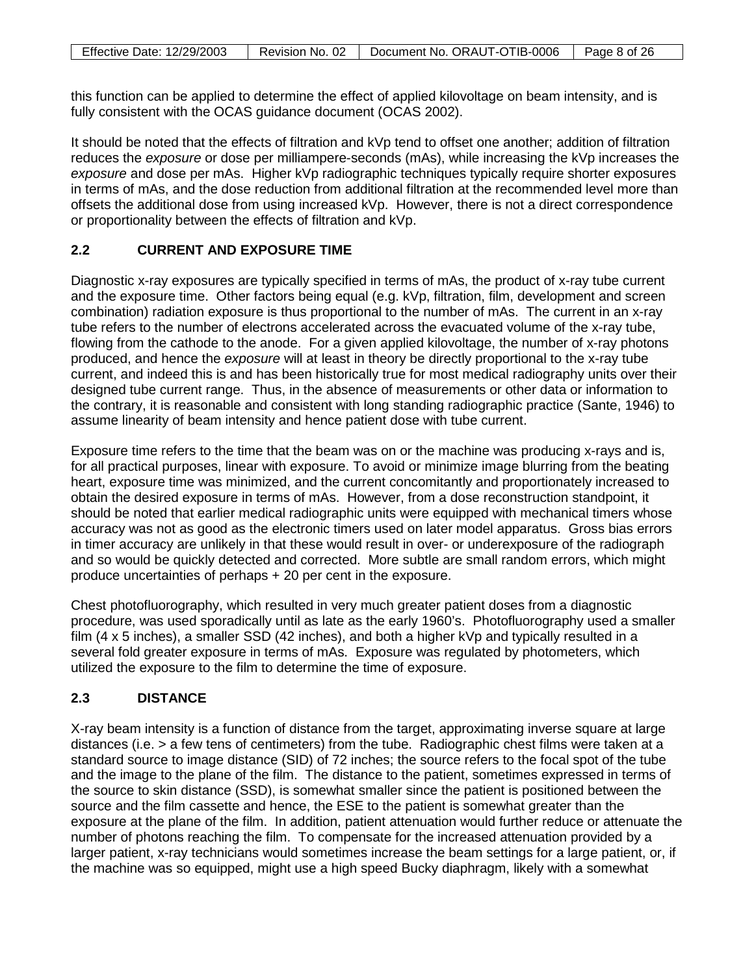this function can be applied to determine the effect of applied kilovoltage on beam intensity, and is fully consistent with the OCAS guidance document (OCAS 2002).

It should be noted that the effects of filtration and kVp tend to offset one another; addition of filtration reduces the *exposure* or dose per milliampere-seconds (mAs), while increasing the kVp increases the *exposure* and dose per mAs. Higher kVp radiographic techniques typically require shorter exposures in terms of mAs, and the dose reduction from additional filtration at the recommended level more than offsets the additional dose from using increased kVp. However, there is not a direct correspondence or proportionality between the effects of filtration and kVp.

# <span id="page-7-0"></span>**2.2 CURRENT AND EXPOSURE TIME**

Diagnostic x-ray exposures are typically specified in terms of mAs, the product of x-ray tube current and the exposure time. Other factors being equal (e.g. kVp, filtration, film, development and screen combination) radiation exposure is thus proportional to the number of mAs. The current in an x-ray tube refers to the number of electrons accelerated across the evacuated volume of the x-ray tube, flowing from the cathode to the anode. For a given applied kilovoltage, the number of x-ray photons produced, and hence the *exposure* will at least in theory be directly proportional to the x-ray tube current, and indeed this is and has been historically true for most medical radiography units over their designed tube current range. Thus, in the absence of measurements or other data or information to the contrary, it is reasonable and consistent with long standing radiographic practice (Sante, 1946) to assume linearity of beam intensity and hence patient dose with tube current.

Exposure time refers to the time that the beam was on or the machine was producing x-rays and is, for all practical purposes, linear with exposure. To avoid or minimize image blurring from the beating heart, exposure time was minimized, and the current concomitantly and proportionately increased to obtain the desired exposure in terms of mAs. However, from a dose reconstruction standpoint, it should be noted that earlier medical radiographic units were equipped with mechanical timers whose accuracy was not as good as the electronic timers used on later model apparatus. Gross bias errors in timer accuracy are unlikely in that these would result in over- or underexposure of the radiograph and so would be quickly detected and corrected. More subtle are small random errors, which might produce uncertainties of perhaps + 20 per cent in the exposure.

Chest photofluorography, which resulted in very much greater patient doses from a diagnostic procedure, was used sporadically until as late as the early 1960's. Photofluorography used a smaller film (4 x 5 inches), a smaller SSD (42 inches), and both a higher kVp and typically resulted in a several fold greater exposure in terms of mAs. Exposure was regulated by photometers, which utilized the exposure to the film to determine the time of exposure.

# <span id="page-7-1"></span>**2.3 DISTANCE**

X-ray beam intensity is a function of distance from the target, approximating inverse square at large distances (i.e. > a few tens of centimeters) from the tube. Radiographic chest films were taken at a standard source to image distance (SID) of 72 inches; the source refers to the focal spot of the tube and the image to the plane of the film. The distance to the patient, sometimes expressed in terms of the source to skin distance (SSD), is somewhat smaller since the patient is positioned between the source and the film cassette and hence, the ESE to the patient is somewhat greater than the exposure at the plane of the film. In addition, patient attenuation would further reduce or attenuate the number of photons reaching the film. To compensate for the increased attenuation provided by a larger patient, x-ray technicians would sometimes increase the beam settings for a large patient, or, if the machine was so equipped, might use a high speed Bucky diaphragm, likely with a somewhat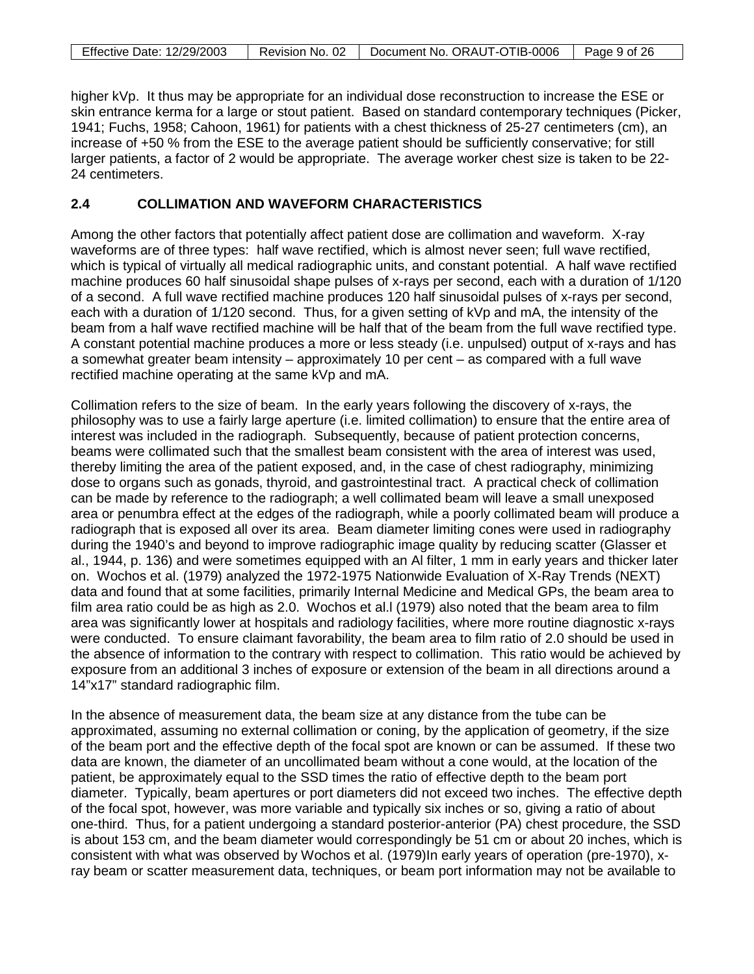| Effective Date: 12/29/2003 | Revision No. 02 | Document No. ORAUT-OTIB-0006 | Page 9 of 26 |
|----------------------------|-----------------|------------------------------|--------------|

higher kVp. It thus may be appropriate for an individual dose reconstruction to increase the ESE or skin entrance kerma for a large or stout patient. Based on standard contemporary techniques (Picker, 1941; Fuchs, 1958; Cahoon, 1961) for patients with a chest thickness of 25-27 centimeters (cm), an increase of +50 % from the ESE to the average patient should be sufficiently conservative; for still larger patients, a factor of 2 would be appropriate. The average worker chest size is taken to be 22- 24 centimeters.

### <span id="page-8-0"></span>**2.4 COLLIMATION AND WAVEFORM CHARACTERISTICS**

Among the other factors that potentially affect patient dose are collimation and waveform. X-ray waveforms are of three types: half wave rectified, which is almost never seen; full wave rectified, which is typical of virtually all medical radiographic units, and constant potential. A half wave rectified machine produces 60 half sinusoidal shape pulses of x-rays per second, each with a duration of 1/120 of a second. A full wave rectified machine produces 120 half sinusoidal pulses of x-rays per second, each with a duration of 1/120 second. Thus, for a given setting of kVp and mA, the intensity of the beam from a half wave rectified machine will be half that of the beam from the full wave rectified type. A constant potential machine produces a more or less steady (i.e. unpulsed) output of x-rays and has a somewhat greater beam intensity – approximately 10 per cent – as compared with a full wave rectified machine operating at the same kVp and mA.

Collimation refers to the size of beam. In the early years following the discovery of x-rays, the philosophy was to use a fairly large aperture (i.e. limited collimation) to ensure that the entire area of interest was included in the radiograph. Subsequently, because of patient protection concerns, beams were collimated such that the smallest beam consistent with the area of interest was used, thereby limiting the area of the patient exposed, and, in the case of chest radiography, minimizing dose to organs such as gonads, thyroid, and gastrointestinal tract. A practical check of collimation can be made by reference to the radiograph; a well collimated beam will leave a small unexposed area or penumbra effect at the edges of the radiograph, while a poorly collimated beam will produce a radiograph that is exposed all over its area. Beam diameter limiting cones were used in radiography during the 1940's and beyond to improve radiographic image quality by reducing scatter (Glasser et al., 1944, p. 136) and were sometimes equipped with an Al filter, 1 mm in early years and thicker later on. Wochos et al. (1979) analyzed the 1972-1975 Nationwide Evaluation of X-Ray Trends (NEXT) data and found that at some facilities, primarily Internal Medicine and Medical GPs, the beam area to film area ratio could be as high as 2.0. Wochos et al.l (1979) also noted that the beam area to film area was significantly lower at hospitals and radiology facilities, where more routine diagnostic x-rays were conducted. To ensure claimant favorability, the beam area to film ratio of 2.0 should be used in the absence of information to the contrary with respect to collimation. This ratio would be achieved by exposure from an additional 3 inches of exposure or extension of the beam in all directions around a 14"x17" standard radiographic film.

In the absence of measurement data, the beam size at any distance from the tube can be approximated, assuming no external collimation or coning, by the application of geometry, if the size of the beam port and the effective depth of the focal spot are known or can be assumed. If these two data are known, the diameter of an uncollimated beam without a cone would, at the location of the patient, be approximately equal to the SSD times the ratio of effective depth to the beam port diameter. Typically, beam apertures or port diameters did not exceed two inches. The effective depth of the focal spot, however, was more variable and typically six inches or so, giving a ratio of about one-third. Thus, for a patient undergoing a standard posterior-anterior (PA) chest procedure, the SSD is about 153 cm, and the beam diameter would correspondingly be 51 cm or about 20 inches, which is consistent with what was observed by Wochos et al. (1979)In early years of operation (pre-1970), xray beam or scatter measurement data, techniques, or beam port information may not be available to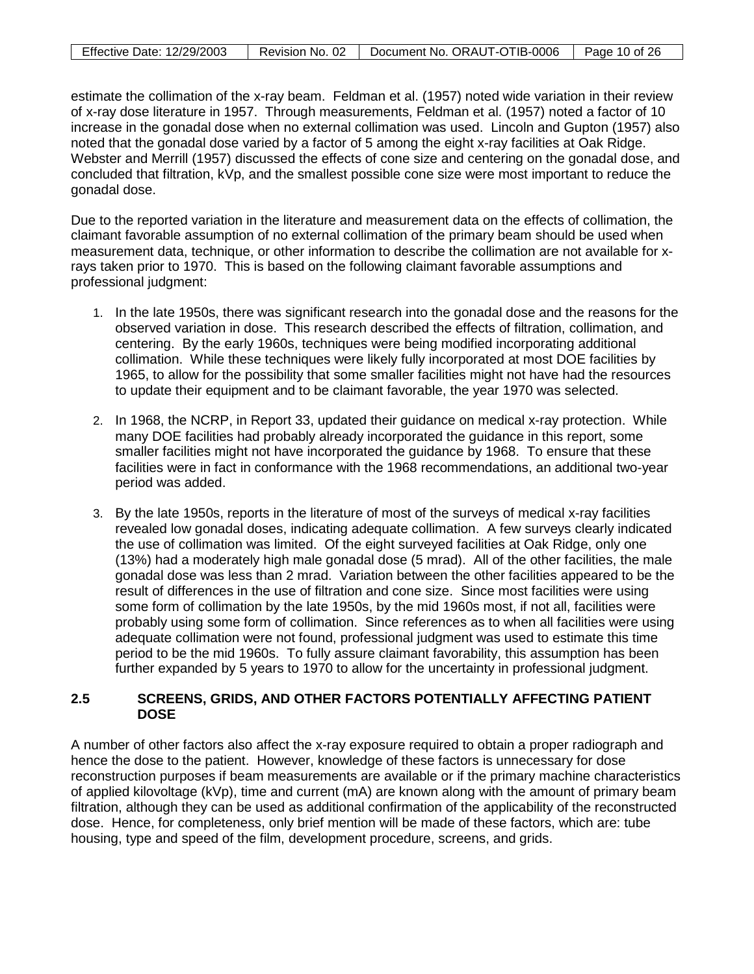| <b>Effective Date: 12/29/2003</b> | Revision No. 02 | Document No. ORAUT-OTIB-0006 | $\vert$ Page 10 of 26 |
|-----------------------------------|-----------------|------------------------------|-----------------------|

estimate the collimation of the x-ray beam. Feldman et al. (1957) noted wide variation in their review of x-ray dose literature in 1957. Through measurements, Feldman et al. (1957) noted a factor of 10 increase in the gonadal dose when no external collimation was used. Lincoln and Gupton (1957) also noted that the gonadal dose varied by a factor of 5 among the eight x-ray facilities at Oak Ridge. Webster and Merrill (1957) discussed the effects of cone size and centering on the gonadal dose, and concluded that filtration, kVp, and the smallest possible cone size were most important to reduce the gonadal dose.

Due to the reported variation in the literature and measurement data on the effects of collimation, the claimant favorable assumption of no external collimation of the primary beam should be used when measurement data, technique, or other information to describe the collimation are not available for xrays taken prior to 1970. This is based on the following claimant favorable assumptions and professional judgment:

- 1. In the late 1950s, there was significant research into the gonadal dose and the reasons for the observed variation in dose. This research described the effects of filtration, collimation, and centering. By the early 1960s, techniques were being modified incorporating additional collimation. While these techniques were likely fully incorporated at most DOE facilities by 1965, to allow for the possibility that some smaller facilities might not have had the resources to update their equipment and to be claimant favorable, the year 1970 was selected.
- 2. In 1968, the NCRP, in Report 33, updated their guidance on medical x-ray protection. While many DOE facilities had probably already incorporated the guidance in this report, some smaller facilities might not have incorporated the guidance by 1968. To ensure that these facilities were in fact in conformance with the 1968 recommendations, an additional two-year period was added.
- 3. By the late 1950s, reports in the literature of most of the surveys of medical x-ray facilities revealed low gonadal doses, indicating adequate collimation. A few surveys clearly indicated the use of collimation was limited. Of the eight surveyed facilities at Oak Ridge, only one (13%) had a moderately high male gonadal dose (5 mrad). All of the other facilities, the male gonadal dose was less than 2 mrad. Variation between the other facilities appeared to be the result of differences in the use of filtration and cone size. Since most facilities were using some form of collimation by the late 1950s, by the mid 1960s most, if not all, facilities were probably using some form of collimation. Since references as to when all facilities were using adequate collimation were not found, professional judgment was used to estimate this time period to be the mid 1960s. To fully assure claimant favorability, this assumption has been further expanded by 5 years to 1970 to allow for the uncertainty in professional judgment.

### <span id="page-9-0"></span>**2.5 SCREENS, GRIDS, AND OTHER FACTORS POTENTIALLY AFFECTING PATIENT DOSE**

A number of other factors also affect the x-ray exposure required to obtain a proper radiograph and hence the dose to the patient. However, knowledge of these factors is unnecessary for dose reconstruction purposes if beam measurements are available or if the primary machine characteristics of applied kilovoltage (kVp), time and current (mA) are known along with the amount of primary beam filtration, although they can be used as additional confirmation of the applicability of the reconstructed dose. Hence, for completeness, only brief mention will be made of these factors, which are: tube housing, type and speed of the film, development procedure, screens, and grids.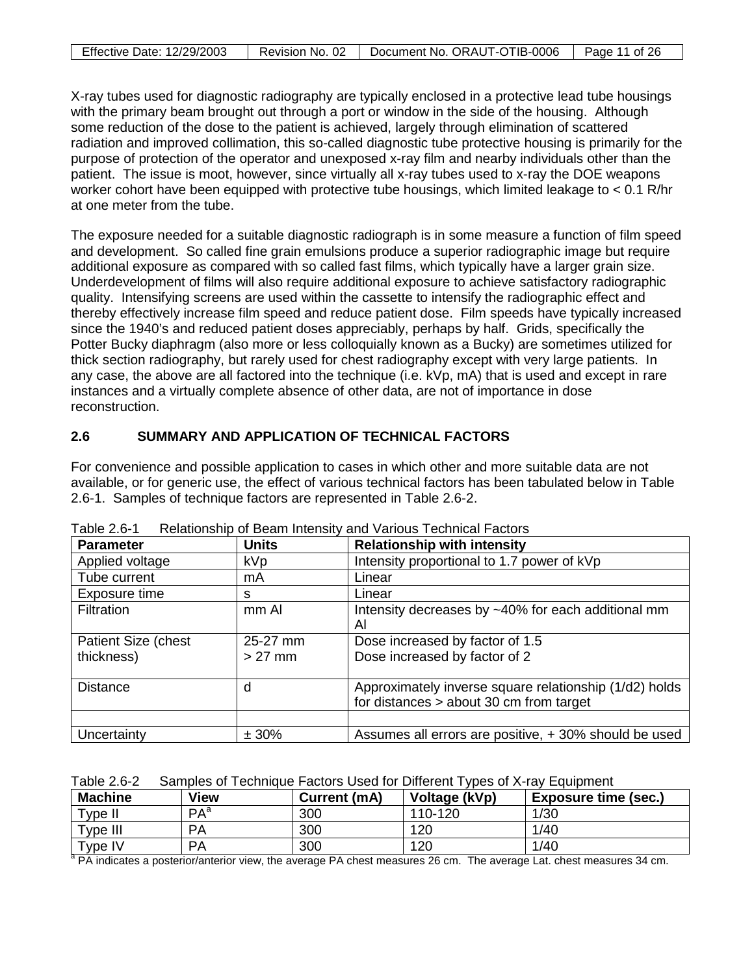| <b>Effective Date: 12/29/2003</b> | Revision No. 02 | Document No. ORAUT-OTIB-0006 | Page 11 of 26 |
|-----------------------------------|-----------------|------------------------------|---------------|

X-ray tubes used for diagnostic radiography are typically enclosed in a protective lead tube housings with the primary beam brought out through a port or window in the side of the housing. Although some reduction of the dose to the patient is achieved, largely through elimination of scattered radiation and improved collimation, this so-called diagnostic tube protective housing is primarily for the purpose of protection of the operator and unexposed x-ray film and nearby individuals other than the patient. The issue is moot, however, since virtually all x-ray tubes used to x-ray the DOE weapons worker cohort have been equipped with protective tube housings, which limited leakage to < 0.1 R/hr at one meter from the tube.

The exposure needed for a suitable diagnostic radiograph is in some measure a function of film speed and development. So called fine grain emulsions produce a superior radiographic image but require additional exposure as compared with so called fast films, which typically have a larger grain size. Underdevelopment of films will also require additional exposure to achieve satisfactory radiographic quality. Intensifying screens are used within the cassette to intensify the radiographic effect and thereby effectively increase film speed and reduce patient dose. Film speeds have typically increased since the 1940's and reduced patient doses appreciably, perhaps by half. Grids, specifically the Potter Bucky diaphragm (also more or less colloquially known as a Bucky) are sometimes utilized for thick section radiography, but rarely used for chest radiography except with very large patients. In any case, the above are all factored into the technique (i.e. kVp, mA) that is used and except in rare instances and a virtually complete absence of other data, are not of importance in dose reconstruction.

# <span id="page-10-0"></span>**2.6 SUMMARY AND APPLICATION OF TECHNICAL FACTORS**

For convenience and possible application to cases in which other and more suitable data are not available, or for generic use, the effect of various technical factors has been tabulated below in Table 2.6-1. Samples of technique factors are represented in Table 2.6-2.

| <b>Parameter</b>    | <b>Units</b> | <b>Relationship with intensity</b>                     |
|---------------------|--------------|--------------------------------------------------------|
| Applied voltage     | <b>kVp</b>   | Intensity proportional to 1.7 power of kVp             |
| Tube current        | mA           | Linear                                                 |
| Exposure time       | s            | Linear                                                 |
| Filtration          | mm Al        | Intensity decreases by ~40% for each additional mm     |
|                     |              | Al                                                     |
| Patient Size (chest | 25-27 mm     | Dose increased by factor of 1.5                        |
| thickness)          | $>27$ mm     | Dose increased by factor of 2                          |
|                     |              |                                                        |
| <b>Distance</b>     | d            | Approximately inverse square relationship (1/d2) holds |
|                     |              | for distances $>$ about 30 cm from target              |
|                     |              |                                                        |
| Uncertainty         | ± 30%        | Assumes all errors are positive, +30% should be used   |

<span id="page-10-1"></span>Table 2.6-1 Relationship of Beam Intensity and Various Technical Factors

<span id="page-10-2"></span>

|  |  | Table 2.6-2 Samples of Technique Factors Used for Different Types of X-ray Equipment |  |  |
|--|--|--------------------------------------------------------------------------------------|--|--|
|--|--|--------------------------------------------------------------------------------------|--|--|

| <b>Machine</b> | View            | Current (mA) | Voltage (kVp) | <b>Exposure time (sec.)</b> |
|----------------|-----------------|--------------|---------------|-----------------------------|
| Type II        | PA <sup>a</sup> | 300          | 110-120       | 1/30                        |
| $\tau$ ype III | <b>PA</b>       | 300          | 120           | 1/40                        |
| $v$ rype IV    | <b>PA</b>       | 300          | 120           | 1/40                        |

<sup>a</sup> PA indicates a posterior/anterior view, the average PA chest measures 26 cm. The average Lat. chest measures 34 cm.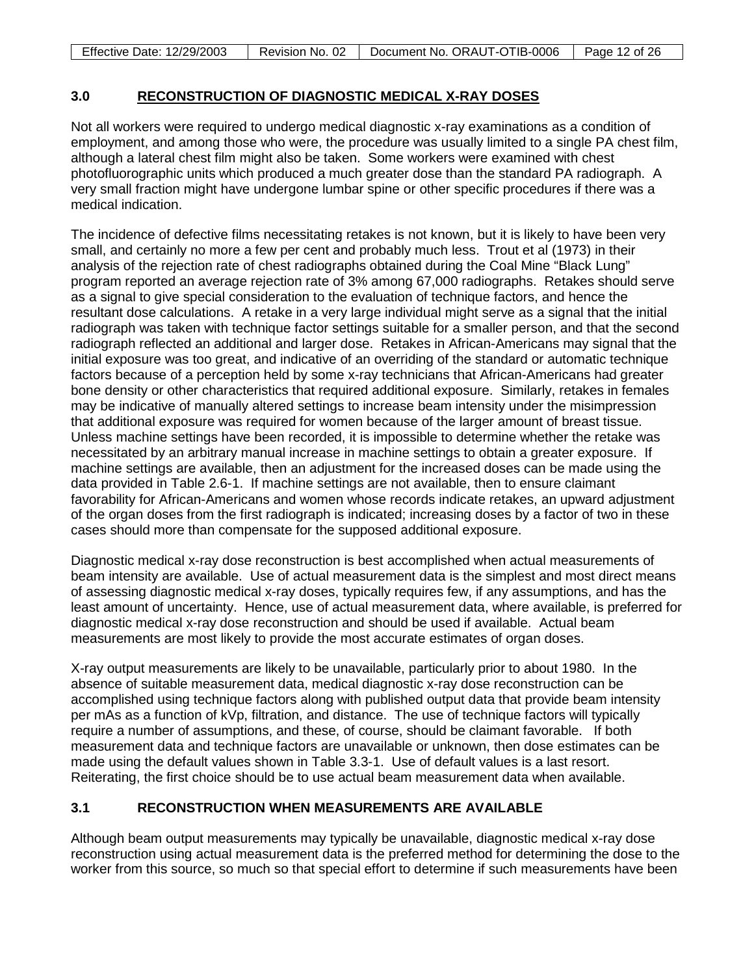| <b>Effective Date: 12/29/2003</b> | Revision No. 02 | Document No. ORAUT-OTIB-0006 | Page 12 of 26 |
|-----------------------------------|-----------------|------------------------------|---------------|

#### <span id="page-11-0"></span>**3.0 RECONSTRUCTION OF DIAGNOSTIC MEDICAL X-RAY DOSES**

Not all workers were required to undergo medical diagnostic x-ray examinations as a condition of employment, and among those who were, the procedure was usually limited to a single PA chest film, although a lateral chest film might also be taken. Some workers were examined with chest photofluorographic units which produced a much greater dose than the standard PA radiograph. A very small fraction might have undergone lumbar spine or other specific procedures if there was a medical indication.

The incidence of defective films necessitating retakes is not known, but it is likely to have been very small, and certainly no more a few per cent and probably much less. Trout et al (1973) in their analysis of the rejection rate of chest radiographs obtained during the Coal Mine "Black Lung" program reported an average rejection rate of 3% among 67,000 radiographs. Retakes should serve as a signal to give special consideration to the evaluation of technique factors, and hence the resultant dose calculations. A retake in a very large individual might serve as a signal that the initial radiograph was taken with technique factor settings suitable for a smaller person, and that the second radiograph reflected an additional and larger dose. Retakes in African-Americans may signal that the initial exposure was too great, and indicative of an overriding of the standard or automatic technique factors because of a perception held by some x-ray technicians that African-Americans had greater bone density or other characteristics that required additional exposure. Similarly, retakes in females may be indicative of manually altered settings to increase beam intensity under the misimpression that additional exposure was required for women because of the larger amount of breast tissue. Unless machine settings have been recorded, it is impossible to determine whether the retake was necessitated by an arbitrary manual increase in machine settings to obtain a greater exposure. If machine settings are available, then an adjustment for the increased doses can be made using the data provided in Table 2.6-1. If machine settings are not available, then to ensure claimant favorability for African-Americans and women whose records indicate retakes, an upward adjustment of the organ doses from the first radiograph is indicated; increasing doses by a factor of two in these cases should more than compensate for the supposed additional exposure.

Diagnostic medical x-ray dose reconstruction is best accomplished when actual measurements of beam intensity are available. Use of actual measurement data is the simplest and most direct means of assessing diagnostic medical x-ray doses, typically requires few, if any assumptions, and has the least amount of uncertainty. Hence, use of actual measurement data, where available, is preferred for diagnostic medical x-ray dose reconstruction and should be used if available. Actual beam measurements are most likely to provide the most accurate estimates of organ doses.

X-ray output measurements are likely to be unavailable, particularly prior to about 1980. In the absence of suitable measurement data, medical diagnostic x-ray dose reconstruction can be accomplished using technique factors along with published output data that provide beam intensity per mAs as a function of kVp, filtration, and distance. The use of technique factors will typically require a number of assumptions, and these, of course, should be claimant favorable. If both measurement data and technique factors are unavailable or unknown, then dose estimates can be made using the default values shown in Table 3.3-1. Use of default values is a last resort. Reiterating, the first choice should be to use actual beam measurement data when available.

# <span id="page-11-1"></span>**3.1 RECONSTRUCTION WHEN MEASUREMENTS ARE AVAILABLE**

Although beam output measurements may typically be unavailable, diagnostic medical x-ray dose reconstruction using actual measurement data is the preferred method for determining the dose to the worker from this source, so much so that special effort to determine if such measurements have been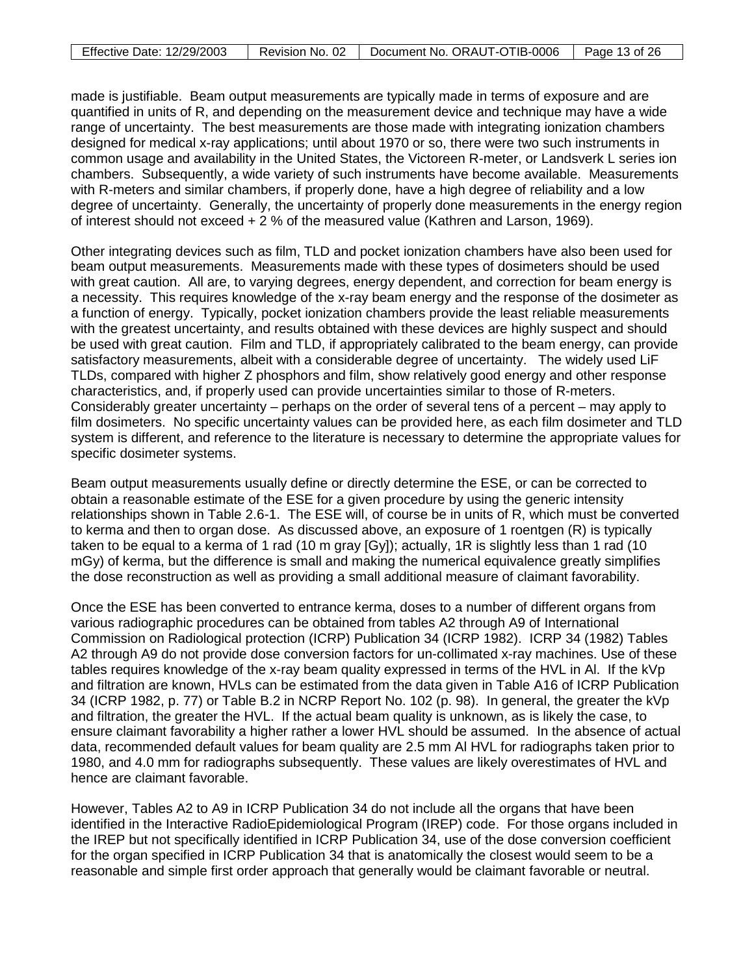| <b>Effective Date: 12/29/2003</b> |  | Revision No. 02   Document No. ORAUT-OTIB-0006   Page 13 of 26 |  |
|-----------------------------------|--|----------------------------------------------------------------|--|
|-----------------------------------|--|----------------------------------------------------------------|--|

made is justifiable. Beam output measurements are typically made in terms of exposure and are quantified in units of R, and depending on the measurement device and technique may have a wide range of uncertainty. The best measurements are those made with integrating ionization chambers designed for medical x-ray applications; until about 1970 or so, there were two such instruments in common usage and availability in the United States, the Victoreen R-meter, or Landsverk L series ion chambers. Subsequently, a wide variety of such instruments have become available. Measurements with R-meters and similar chambers, if properly done, have a high degree of reliability and a low degree of uncertainty. Generally, the uncertainty of properly done measurements in the energy region of interest should not exceed + 2 % of the measured value (Kathren and Larson, 1969).

Other integrating devices such as film, TLD and pocket ionization chambers have also been used for beam output measurements. Measurements made with these types of dosimeters should be used with great caution. All are, to varying degrees, energy dependent, and correction for beam energy is a necessity. This requires knowledge of the x-ray beam energy and the response of the dosimeter as a function of energy. Typically, pocket ionization chambers provide the least reliable measurements with the greatest uncertainty, and results obtained with these devices are highly suspect and should be used with great caution. Film and TLD, if appropriately calibrated to the beam energy, can provide satisfactory measurements, albeit with a considerable degree of uncertainty. The widely used LiF TLDs, compared with higher Z phosphors and film, show relatively good energy and other response characteristics, and, if properly used can provide uncertainties similar to those of R-meters. Considerably greater uncertainty – perhaps on the order of several tens of a percent – may apply to film dosimeters. No specific uncertainty values can be provided here, as each film dosimeter and TLD system is different, and reference to the literature is necessary to determine the appropriate values for specific dosimeter systems.

Beam output measurements usually define or directly determine the ESE, or can be corrected to obtain a reasonable estimate of the ESE for a given procedure by using the generic intensity relationships shown in Table 2.6-1. The ESE will, of course be in units of R, which must be converted to kerma and then to organ dose. As discussed above, an exposure of 1 roentgen (R) is typically taken to be equal to a kerma of 1 rad (10 m gray [Gy]); actually, 1R is slightly less than 1 rad (10 mGy) of kerma, but the difference is small and making the numerical equivalence greatly simplifies the dose reconstruction as well as providing a small additional measure of claimant favorability.

Once the ESE has been converted to entrance kerma, doses to a number of different organs from various radiographic procedures can be obtained from tables A2 through A9 of International Commission on Radiological protection (ICRP) Publication 34 (ICRP 1982). ICRP 34 (1982) Tables A2 through A9 do not provide dose conversion factors for un-collimated x-ray machines. Use of these tables requires knowledge of the x-ray beam quality expressed in terms of the HVL in Al. If the kVp and filtration are known, HVLs can be estimated from the data given in Table A16 of ICRP Publication 34 (ICRP 1982, p. 77) or Table B.2 in NCRP Report No. 102 (p. 98). In general, the greater the kVp and filtration, the greater the HVL. If the actual beam quality is unknown, as is likely the case, to ensure claimant favorability a higher rather a lower HVL should be assumed. In the absence of actual data, recommended default values for beam quality are 2.5 mm Al HVL for radiographs taken prior to 1980, and 4.0 mm for radiographs subsequently. These values are likely overestimates of HVL and hence are claimant favorable.

However, Tables A2 to A9 in ICRP Publication 34 do not include all the organs that have been identified in the Interactive RadioEpidemiological Program (IREP) code. For those organs included in the IREP but not specifically identified in ICRP Publication 34, use of the dose conversion coefficient for the organ specified in ICRP Publication 34 that is anatomically the closest would seem to be a reasonable and simple first order approach that generally would be claimant favorable or neutral.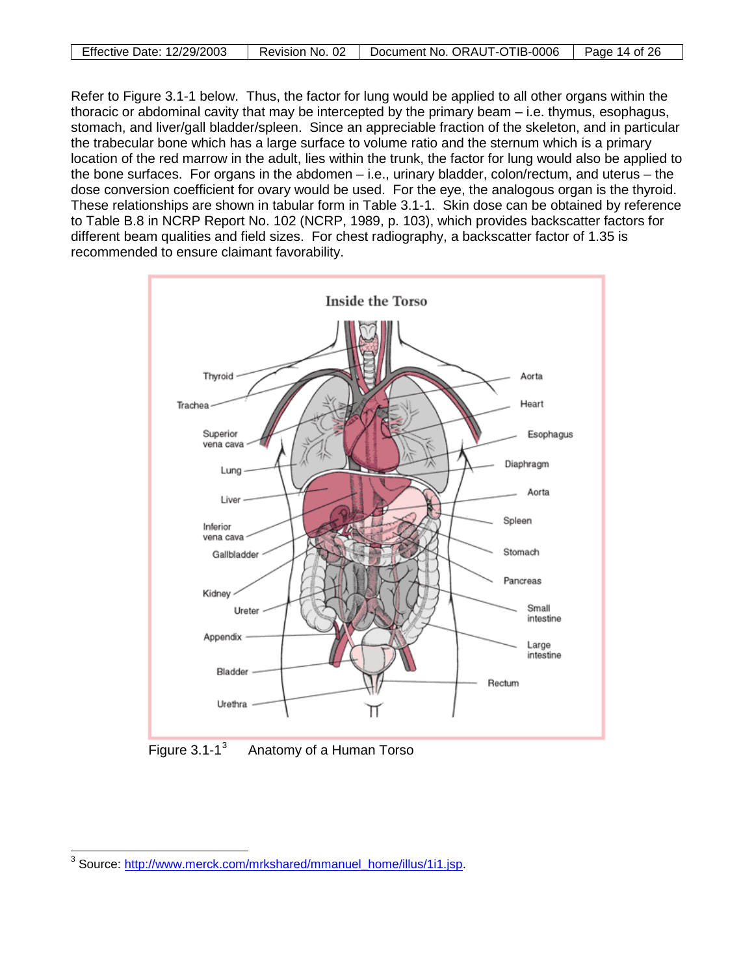| Effective Date: 12/29/2003 | Revision No. 02 | Document No. ORAUT-OTIB-0006   Page 14 of 26 |  |
|----------------------------|-----------------|----------------------------------------------|--|

Refer to Figure 3.1-1 below. Thus, the factor for lung would be applied to all other organs within the thoracic or abdominal cavity that may be intercepted by the primary beam – i.e. thymus, esophagus, stomach, and liver/gall bladder/spleen. Since an appreciable fraction of the skeleton, and in particular the trabecular bone which has a large surface to volume ratio and the sternum which is a primary location of the red marrow in the adult, lies within the trunk, the factor for lung would also be applied to the bone surfaces. For organs in the abdomen – i.e., urinary bladder, colon/rectum, and uterus – the dose conversion coefficient for ovary would be used. For the eye, the analogous organ is the thyroid. These relationships are shown in tabular form in Table 3.1-1. Skin dose can be obtained by reference to Table B.8 in NCRP Report No. 102 (NCRP, 1989, p. 103), which provides backscatter factors for different beam qualities and field sizes. For chest radiography, a backscatter factor of 1.35 is recommended to ensure claimant favorability.



<span id="page-13-0"></span>Figure  $3.1 - 1<sup>3</sup>$  $3.1 - 1<sup>3</sup>$ Anatomy of a Human Torso

<span id="page-13-1"></span> $\overline{a}$ <sup>3</sup> Source: [http://www.merck.com/mrkshared/mmanuel\\_home/illus/1i1.jsp.](http://www.merck.com/mrkshared/mmanuel_home/illus/1i1.jsp)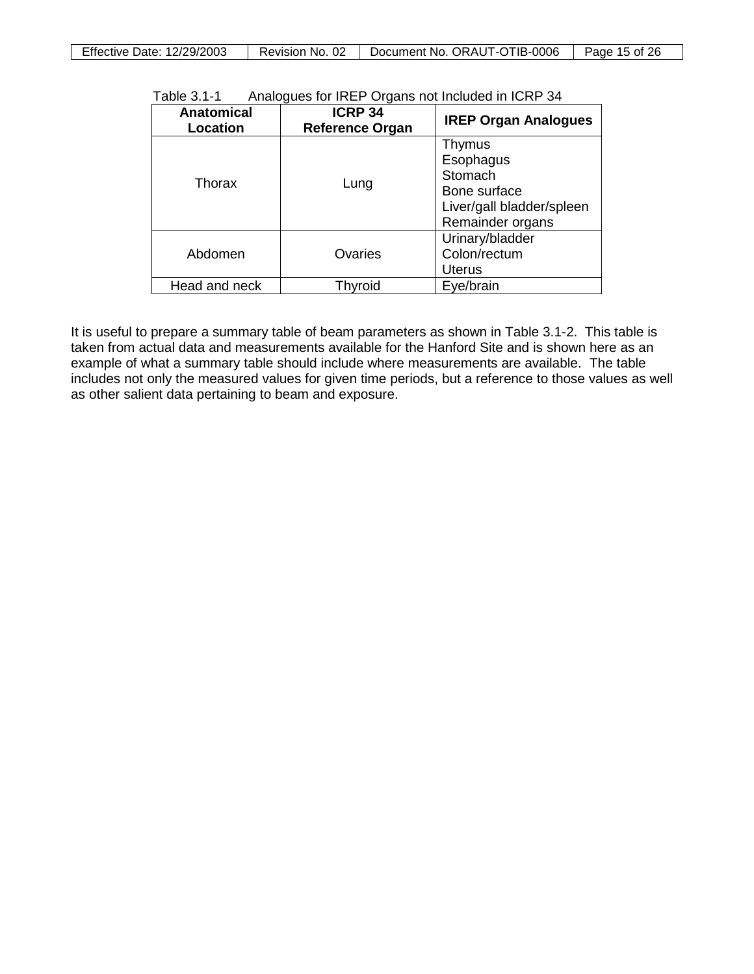<span id="page-14-0"></span>

| Effective Date: 12/29/2003 | Revision No. 02 | Document No. ORAUT-OTIB-0006 | Page 15 of 26 |
|----------------------------|-----------------|------------------------------|---------------|

| Table 3.1-1 |        | Analogues for IREP Organs not Included in ICRP 34 |
|-------------|--------|---------------------------------------------------|
|             | 100000 |                                                   |

| <b>Anatomical</b><br>Location | <b>ICRP 34</b><br><b>Reference Organ</b> | <b>IREP Organ Analogues</b>                                                                     |
|-------------------------------|------------------------------------------|-------------------------------------------------------------------------------------------------|
| Thorax                        | Lung                                     | Thymus<br>Esophagus<br>Stomach<br>Bone surface<br>Liver/gall bladder/spleen<br>Remainder organs |
| Abdomen                       | Ovaries                                  | Urinary/bladder<br>Colon/rectum<br>Uterus                                                       |
| Head and neck                 | Thyroid                                  | Eye/brain                                                                                       |

It is useful to prepare a summary table of beam parameters as shown in Table 3.1-2. This table is taken from actual data and measurements available for the Hanford Site and is shown here as an example of what a summary table should include where measurements are available. The table includes not only the measured values for given time periods, but a reference to those values as well as other salient data pertaining to beam and exposure.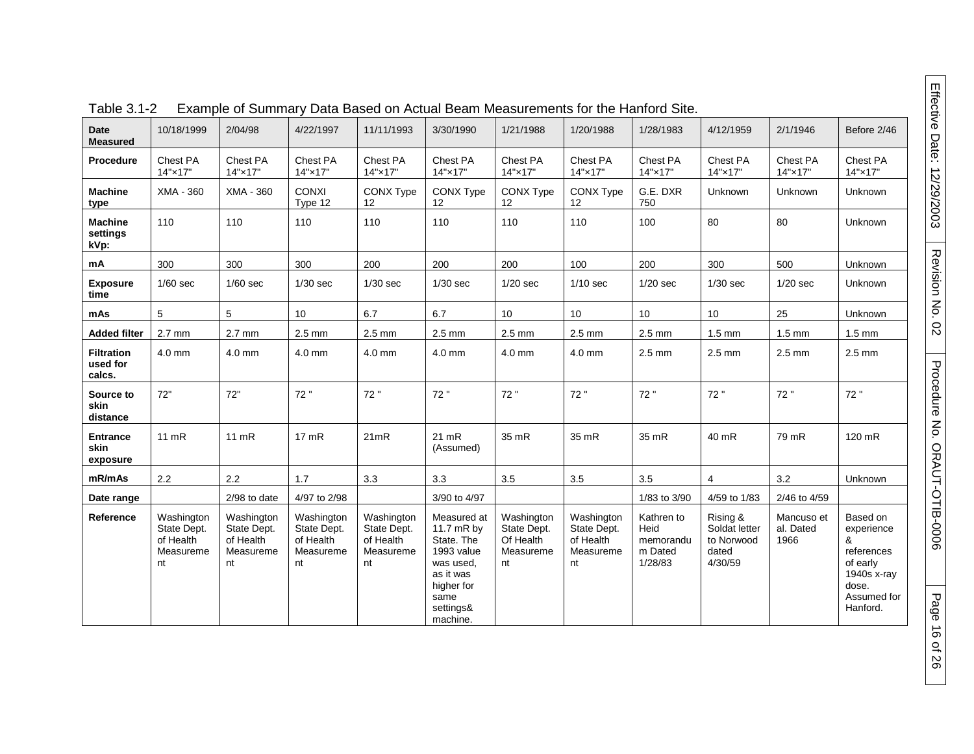|                                         |                                                           | $=$ , and $=$ $\frac{1}{2}$ . $\frac{1}{2}$ . $\frac{1}{2}$ . $\frac{1}{2}$ . $\frac{1}{2}$ . $\frac{1}{2}$ |                                                           | $20.00$ $-0.00$ $-0.00$ $-0.00$                           |                                                                                                                                |                                                           |                                                           |                                                       |                                                             |                                 |                                                                                                          |
|-----------------------------------------|-----------------------------------------------------------|-------------------------------------------------------------------------------------------------------------|-----------------------------------------------------------|-----------------------------------------------------------|--------------------------------------------------------------------------------------------------------------------------------|-----------------------------------------------------------|-----------------------------------------------------------|-------------------------------------------------------|-------------------------------------------------------------|---------------------------------|----------------------------------------------------------------------------------------------------------|
| <b>Date</b><br><b>Measured</b>          | 10/18/1999                                                | 2/04/98                                                                                                     | 4/22/1997                                                 | 11/11/1993                                                | 3/30/1990                                                                                                                      | 1/21/1988                                                 | 1/20/1988                                                 | 1/28/1983                                             | 4/12/1959                                                   | 2/1/1946                        | Before 2/46                                                                                              |
| Procedure                               | Chest PA<br>14"×17"                                       | Chest PA<br>14"×17"                                                                                         | Chest PA<br>14"×17"                                       | Chest PA<br>14"×17"                                       | Chest PA<br>14"×17"                                                                                                            | Chest PA<br>14"×17"                                       | Chest PA<br>14"×17"                                       | Chest PA<br>14"×17"                                   | Chest PA<br>14"×17"                                         | Chest PA<br>14"×17"             | Chest PA<br>14"×17"                                                                                      |
| <b>Machine</b><br>type                  | XMA - 360                                                 | XMA - 360                                                                                                   | <b>CONXI</b><br>Type 12                                   | <b>CONX Type</b><br>12                                    | CONX Type<br>12                                                                                                                | CONX Type<br>12                                           | <b>CONX Type</b><br>12                                    | G.E. DXR<br>750                                       | Unknown                                                     | <b>Unknown</b>                  | Unknown                                                                                                  |
| <b>Machine</b><br>settings<br>kVp:      | 110                                                       | 110                                                                                                         | 110                                                       | 110                                                       | 110                                                                                                                            | 110                                                       | 110                                                       | 100                                                   | 80                                                          | 80                              | Unknown                                                                                                  |
| mA                                      | 300                                                       | 300                                                                                                         | 300                                                       | 200                                                       | 200                                                                                                                            | 200                                                       | 100                                                       | 200                                                   | 300                                                         | 500                             | Unknown                                                                                                  |
| <b>Exposure</b><br>time                 | $1/60$ sec                                                | $1/60$ sec                                                                                                  | $1/30$ sec                                                | $1/30$ sec                                                | $1/30$ sec                                                                                                                     | $1/20$ sec                                                | $1/10$ sec                                                | $1/20$ sec                                            | $1/30$ sec                                                  | $1/20$ sec                      | <b>Unknown</b>                                                                                           |
| mAs                                     | 5                                                         | 5                                                                                                           | 10                                                        | 6.7                                                       | 6.7                                                                                                                            | 10 <sup>°</sup>                                           | 10                                                        | 10                                                    | 10                                                          | 25                              | Unknown                                                                                                  |
| <b>Added filter</b>                     | $2.7 \text{ mm}$                                          | $2.7$ mm                                                                                                    | $2.5 \text{ mm}$                                          | $2.5 \text{ mm}$                                          | $2.5 \text{ mm}$                                                                                                               | $2.5$ mm                                                  | $2.5$ mm                                                  | $2.5 \text{ mm}$                                      | $1.5 \text{ mm}$                                            | $1.5 \text{ mm}$                | $1.5 \text{ mm}$                                                                                         |
| <b>Filtration</b><br>used for<br>calcs. | 4.0 mm                                                    | 4.0 mm                                                                                                      | 4.0 mm                                                    | 4.0 mm                                                    | 4.0 mm                                                                                                                         | 4.0 mm                                                    | 4.0 mm                                                    | $2.5 \text{ mm}$                                      | $2.5$ mm                                                    | $2.5 \text{ mm}$                | $2.5$ mm                                                                                                 |
| Source to<br>skin<br>distance           | 72"                                                       | 72"                                                                                                         | 72"                                                       | 72"                                                       | 72"                                                                                                                            | 72 "                                                      | 72 "                                                      | 72"                                                   | 72"                                                         | 72 "                            | 72"                                                                                                      |
| <b>Entrance</b><br>skin<br>exposure     | $11$ mR                                                   | $11 \text{ mR}$                                                                                             | $17 \text{ mR}$                                           | 21mR                                                      | $21$ mR<br>(Assumed)                                                                                                           | 35 mR                                                     | 35 mR                                                     | 35 mR                                                 | 40 mR                                                       | 79 mR                           | 120 mR                                                                                                   |
| mR/mAs                                  | 2.2                                                       | 2.2                                                                                                         | 1.7                                                       | 3.3                                                       | 3.3                                                                                                                            | 3.5                                                       | 3.5                                                       | 3.5                                                   | $\overline{4}$                                              | 3.2                             | Unknown                                                                                                  |
| Date range                              |                                                           | 2/98 to date                                                                                                | 4/97 to 2/98                                              |                                                           | 3/90 to 4/97                                                                                                                   |                                                           |                                                           | 1/83 to 3/90                                          | 4/59 to 1/83                                                | 2/46 to 4/59                    |                                                                                                          |
| Reference                               | Washington<br>State Dept.<br>of Health<br>Measureme<br>nt | Washington<br>State Dept.<br>of Health<br>Measureme<br>nt                                                   | Washington<br>State Dept.<br>of Health<br>Measureme<br>nt | Washington<br>State Dept.<br>of Health<br>Measureme<br>nt | Measured at<br>11.7 mR by<br>State. The<br>1993 value<br>was used.<br>as it was<br>higher for<br>same<br>settings&<br>machine. | Washington<br>State Dept.<br>Of Health<br>Measureme<br>nt | Washington<br>State Dept.<br>of Health<br>Measureme<br>nt | Kathren to<br>Heid<br>memorandu<br>m Dated<br>1/28/83 | Rising &<br>Soldat letter<br>to Norwood<br>dated<br>4/30/59 | Mancuso et<br>al. Dated<br>1966 | Based on<br>experience<br>&<br>references<br>of early<br>1940s x-ray<br>dose.<br>Assumed for<br>Hanford. |

Table 3.1-2 Example of Summary Data Based on Actual Beam Measurements for the Hanford Site.

Page 16 of 26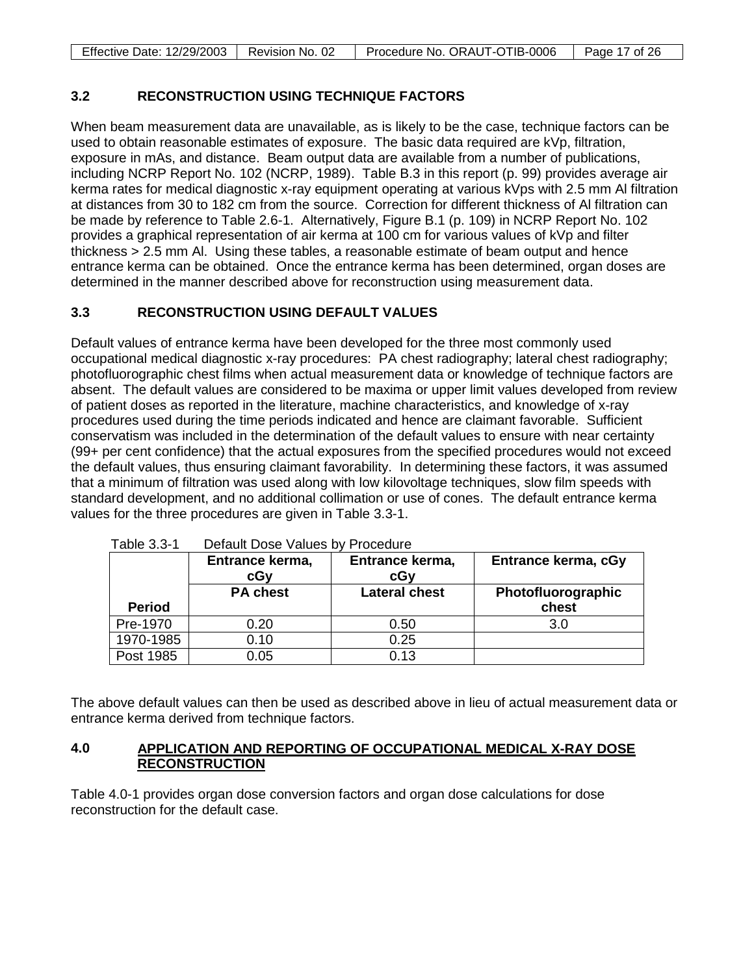| <b>Effective Date: 12/29/2003</b> | Revision No. 02 | Procedure No. ORAUT-OTIB-0006 | Page 17 of 26 |
|-----------------------------------|-----------------|-------------------------------|---------------|

# <span id="page-16-0"></span>**3.2 RECONSTRUCTION USING TECHNIQUE FACTORS**

When beam measurement data are unavailable, as is likely to be the case, technique factors can be used to obtain reasonable estimates of exposure. The basic data required are kVp, filtration, exposure in mAs, and distance. Beam output data are available from a number of publications, including NCRP Report No. 102 (NCRP, 1989). Table B.3 in this report (p. 99) provides average air kerma rates for medical diagnostic x-ray equipment operating at various kVps with 2.5 mm Al filtration at distances from 30 to 182 cm from the source. Correction for different thickness of Al filtration can be made by reference to Table 2.6-1. Alternatively, Figure B.1 (p. 109) in NCRP Report No. 102 provides a graphical representation of air kerma at 100 cm for various values of kVp and filter thickness > 2.5 mm Al. Using these tables, a reasonable estimate of beam output and hence entrance kerma can be obtained. Once the entrance kerma has been determined, organ doses are determined in the manner described above for reconstruction using measurement data.

### <span id="page-16-1"></span>**3.3 RECONSTRUCTION USING DEFAULT VALUES**

Default values of entrance kerma have been developed for the three most commonly used occupational medical diagnostic x-ray procedures: PA chest radiography; lateral chest radiography; photofluorographic chest films when actual measurement data or knowledge of technique factors are absent. The default values are considered to be maxima or upper limit values developed from review of patient doses as reported in the literature, machine characteristics, and knowledge of x-ray procedures used during the time periods indicated and hence are claimant favorable. Sufficient conservatism was included in the determination of the default values to ensure with near certainty (99+ per cent confidence) that the actual exposures from the specified procedures would not exceed the default values, thus ensuring claimant favorability. In determining these factors, it was assumed that a minimum of filtration was used along with low kilovoltage techniques, slow film speeds with standard development, and no additional collimation or use of cones. The default entrance kerma values for the three procedures are given in Table 3.3-1.

<span id="page-16-3"></span>

| ו ־ט.ט טועוסו | Delatiit Dosc Values Dy F | <u>ioccuuc</u>         |                             |
|---------------|---------------------------|------------------------|-----------------------------|
|               | Entrance kerma,<br>cGy    | Entrance kerma,<br>cGy | Entrance kerma, cGy         |
| <b>Period</b> | <b>PA chest</b>           | <b>Lateral chest</b>   | Photofluorographic<br>chest |
| Pre-1970      | 0.20                      | 0.50                   | 3.0                         |
| 1970-1985     | 0.10                      | 0.25                   |                             |
| Post 1985     | 0.05                      | 0.13                   |                             |

Table 3.3-1 Default Dose Values by Procedure

The above default values can then be used as described above in lieu of actual measurement data or entrance kerma derived from technique factors.

#### <span id="page-16-2"></span>**4.0 APPLICATION AND REPORTING OF OCCUPATIONAL MEDICAL X-RAY DOSE RECONSTRUCTION**

Table 4.0-1 provides organ dose conversion factors and organ dose calculations for dose reconstruction for the default case.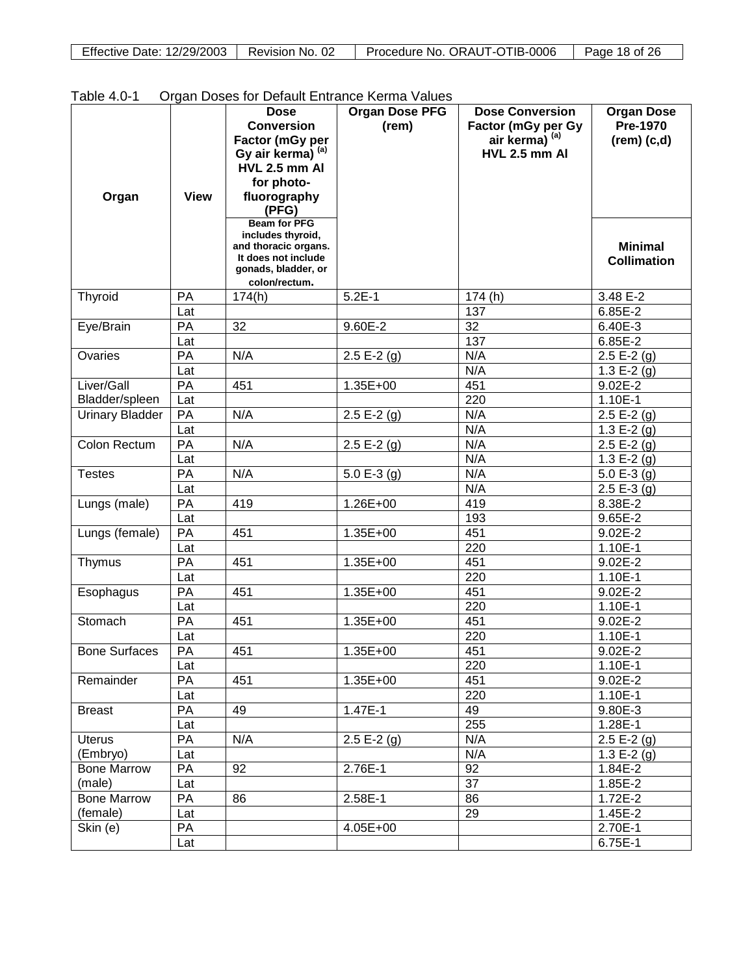| <b>Effective Date: 12/29/2003</b><br>Revision No. 02 | Procedure No. ORAUT-OTIB-0006 | Page 18 of 26 |
|------------------------------------------------------|-------------------------------|---------------|
|------------------------------------------------------|-------------------------------|---------------|

| <b>Table 4.0-T</b>     |             | <b>Dose</b>                                                                                                                     | Organ Doses for Detault Entrance Neithal Values<br><b>Organ Dose PFG</b> | <b>Dose Conversion</b>    | <b>Organ Dose</b>                    |
|------------------------|-------------|---------------------------------------------------------------------------------------------------------------------------------|--------------------------------------------------------------------------|---------------------------|--------------------------------------|
|                        |             | <b>Conversion</b>                                                                                                               | (rem)                                                                    | Factor (mGy per Gy        | <b>Pre-1970</b>                      |
|                        |             | Factor (mGy per                                                                                                                 |                                                                          | air kerma) <sup>(a)</sup> | $(rem)$ $(c,d)$                      |
|                        |             | Gy air kerma) (a)                                                                                                               |                                                                          | <b>HVL 2.5 mm AI</b>      |                                      |
|                        |             | HVL 2.5 mm AI                                                                                                                   |                                                                          |                           |                                      |
|                        |             | for photo-                                                                                                                      |                                                                          |                           |                                      |
| Organ                  | <b>View</b> | fluorography<br>(PFG)                                                                                                           |                                                                          |                           |                                      |
|                        |             | <b>Beam for PFG</b><br>includes thyroid,<br>and thoracic organs.<br>It does not include<br>gonads, bladder, or<br>colon/rectum. |                                                                          |                           | <b>Minimal</b><br><b>Collimation</b> |
| Thyroid                | PA          | 174(h)                                                                                                                          | $5.2E-1$                                                                 | 174(h)                    | 3.48 E-2                             |
|                        | Lat         |                                                                                                                                 |                                                                          | 137                       | 6.85E-2                              |
| Eye/Brain              | PA          | 32                                                                                                                              | 9.60E-2                                                                  | 32                        | 6.40E-3                              |
|                        | Lat         |                                                                                                                                 |                                                                          | 137                       | 6.85E-2                              |
| Ovaries                | PA          | N/A                                                                                                                             | 2.5 E-2 $(g)$                                                            | N/A                       | $2.5 E-2(g)$                         |
|                        | Lat         |                                                                                                                                 |                                                                          | N/A                       | 1.3 E-2 $(g)$                        |
| Liver/Gall             | PA          | 451                                                                                                                             | 1.35E+00                                                                 | 451                       | 9.02E-2                              |
| Bladder/spleen         | Lat         |                                                                                                                                 |                                                                          | 220                       | 1.10E-1                              |
| <b>Urinary Bladder</b> | PA          | N/A                                                                                                                             | 2.5 E-2 $(g)$                                                            | N/A                       | $2.5 E-2(g)$                         |
|                        | Lat         |                                                                                                                                 |                                                                          | N/A                       | 1.3 E-2 $(g)$                        |
| <b>Colon Rectum</b>    | PA          | N/A                                                                                                                             | 2.5 E-2 $(g)$                                                            | N/A                       | $2.5 E-2(g)$                         |
|                        | Lat         |                                                                                                                                 |                                                                          | N/A                       | 1.3 E-2 $(g)$                        |
| <b>Testes</b>          | PA          | N/A                                                                                                                             | 5.0 E-3 $(g)$                                                            | N/A                       | 5.0 E-3 $(g)$                        |
|                        | Lat         |                                                                                                                                 |                                                                          | N/A                       | $2.5E-3(g)$                          |
| Lungs (male)           | PA          | 419                                                                                                                             | 1.26E+00                                                                 | 419                       | 8.38E-2                              |
|                        | Lat         |                                                                                                                                 |                                                                          | 193                       | 9.65E-2                              |
| Lungs (female)         | PA          | 451                                                                                                                             | 1.35E+00                                                                 | 451                       | 9.02E-2                              |
|                        | Lat         |                                                                                                                                 |                                                                          | 220                       | 1.10E-1                              |
| Thymus                 | PA          | 451                                                                                                                             | 1.35E+00                                                                 | 451                       | 9.02E-2                              |
|                        | Lat         |                                                                                                                                 |                                                                          | 220                       | 1.10E-1                              |
| Esophagus              | PA          | 451                                                                                                                             | 1.35E+00                                                                 | 451                       | 9.02E-2                              |
|                        | Lat         |                                                                                                                                 |                                                                          | 220                       | 1.10E-1                              |
| Stomach                | PA          | 451                                                                                                                             | 1.35E+00                                                                 | 451                       | 9.02E-2                              |
|                        | Lat         |                                                                                                                                 |                                                                          | 220                       | 1.10E-1                              |
| <b>Bone Surfaces</b>   | PA          | 451                                                                                                                             | $1.35E + 00$                                                             | 451                       | $9.02E - 2$                          |
|                        | Lat         |                                                                                                                                 |                                                                          | 220                       | 1.10E-1                              |
| Remainder              | PA          | 451                                                                                                                             | $1.35E + 00$                                                             | 451                       | 9.02E-2                              |
|                        | Lat         |                                                                                                                                 |                                                                          | 220                       | 1.10E-1                              |
| <b>Breast</b>          | PA          | 49                                                                                                                              | 1.47E-1                                                                  | 49                        | 9.80E-3                              |
|                        | Lat         |                                                                                                                                 |                                                                          | 255                       | 1.28E-1                              |
| <b>Uterus</b>          | PA          | N/A                                                                                                                             | $2.5 E-2(g)$                                                             | N/A                       | 2.5 E-2 $\overline{q}$ )             |
| (Embryo)               | Lat         |                                                                                                                                 |                                                                          | N/A                       | 1.3 E-2 $(g)$                        |
| <b>Bone Marrow</b>     | PA          | 92                                                                                                                              | 2.76E-1                                                                  | 92                        | 1.84E-2                              |
| (male)                 | Lat         |                                                                                                                                 |                                                                          | 37                        | 1.85E-2                              |
| <b>Bone Marrow</b>     | PA          | 86                                                                                                                              | 2.58E-1                                                                  | 86                        | 1.72E-2                              |
| (female)               | Lat         |                                                                                                                                 |                                                                          | 29                        | 1.45E-2                              |
| Skin (e)               | PA          |                                                                                                                                 | 4.05E+00                                                                 |                           | 2.70E-1                              |
|                        | Lat         |                                                                                                                                 |                                                                          |                           | 6.75E-1                              |

<span id="page-17-0"></span>Table 4.0-1 Organ Doses for Default Entrance Kerma Values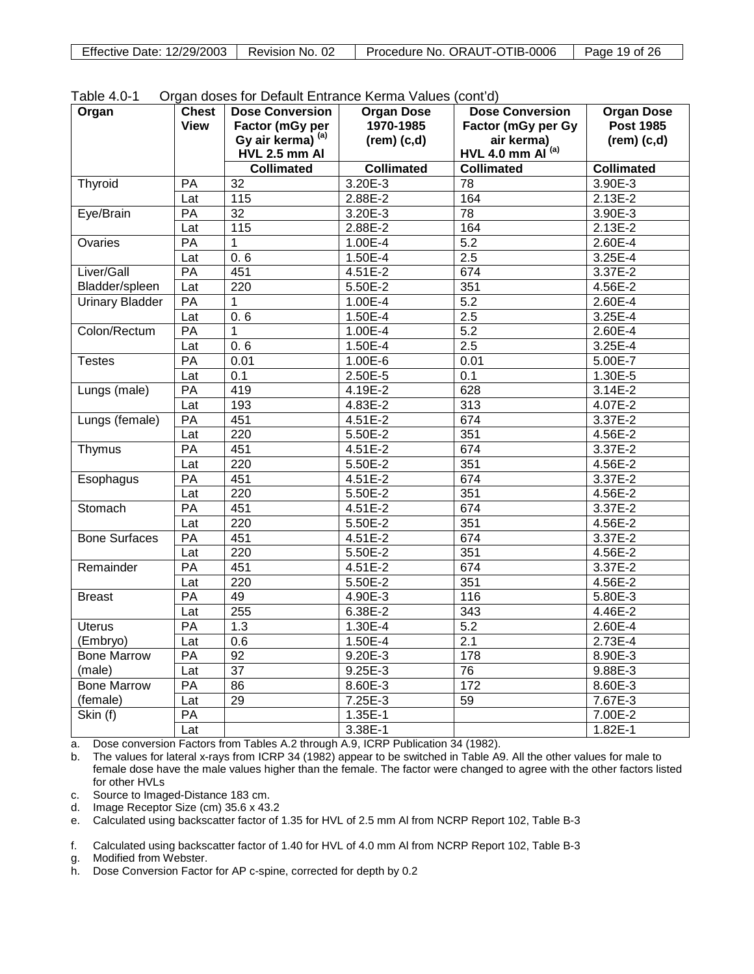| Effective Date: 12/29/2003 | Revision No. 02 | Procedure No. ORAUT-OTIB-0006 | Page 19 of 26 |
|----------------------------|-----------------|-------------------------------|---------------|

| Organ                  | <b>Chest</b>    | <b>Dose Conversion</b>             | <b>Organ Dose</b> | <b>Dose Conversion</b>              | <b>Organ Dose</b> |
|------------------------|-----------------|------------------------------------|-------------------|-------------------------------------|-------------------|
|                        | View            | Factor (mGy per                    | 1970-1985         | Factor (mGy per Gy                  | <b>Post 1985</b>  |
|                        |                 | Gy air kerma) (a)                  | $(rem)$ $(c,d)$   | air kerma)<br>HVL 4.0 mm $AI^{(a)}$ | $(rem)$ $(c,d)$   |
|                        |                 | HVL 2.5 mm AI<br><b>Collimated</b> | <b>Collimated</b> | <b>Collimated</b>                   | <b>Collimated</b> |
|                        |                 |                                    |                   |                                     |                   |
| Thyroid                | PA              | 32<br>$\frac{115}{115}$            | 3.20E-3           | 78                                  | 3.90E-3           |
|                        | Lat             |                                    | 2.88E-2           | 164                                 | 2.13E-2           |
| Eye/Brain              | PA              | $\overline{32}$                    | 3.20E-3           | 78                                  | 3.90E-3           |
|                        | Lat             | 115                                | 2.88E-2           | 164                                 | 2.13E-2           |
| Ovaries                | PA              | 1                                  | 1.00E-4           | $\overline{5.2}$                    | 2.60E-4           |
|                        | Lat             | 0.6                                | 1.50E-4           | 2.5                                 | $3.25E-4$         |
| Liver/Gall             | PA              | 451                                | 4.51E-2           | 674                                 | 3.37E-2           |
| Bladder/spleen         | Lat             | 220                                | 5.50E-2           | 351                                 | 4.56E-2           |
| <b>Urinary Bladder</b> | PA              | 1                                  | 1.00E-4           | 5.2                                 | 2.60E-4           |
|                        | Lat             | 0.6                                | 1.50E-4           | 2.5                                 | 3.25E-4           |
| Colon/Rectum           | PA              | 1                                  | 1.00E-4           | 5.2                                 | 2.60E-4           |
|                        | Lat             | 0.6                                | 1.50E-4           | 2.5                                 | 3.25E-4           |
| <b>Testes</b>          | PA              | 0.01                               | 1.00E-6           | 0.01                                | 5.00E-7           |
|                        | Lat             | 0.1                                | 2.50E-5           | 0.1                                 | 1.30E-5           |
| Lungs (male)           | PA              | 419                                | 4.19E-2           | 628                                 | 3.14E-2           |
|                        | Lat             | 193                                | 4.83E-2           | 313                                 | 4.07E-2           |
| Lungs (female)         | $\overline{PA}$ | 451                                | $4.51E - 2$       | 674                                 | 3.37E-2           |
|                        | Lat             | 220                                | 5.50E-2           | 351                                 | 4.56E-2           |
| Thymus                 | PA              | 451                                | 4.51E-2           | 674                                 | 3.37E-2           |
|                        | Lat             | 220                                | 5.50E-2           | 351                                 | 4.56E-2           |
| Esophagus              | PA              | 451                                | 4.51E-2           | 674                                 | 3.37E-2           |
|                        | Lat             | 220                                | 5.50E-2           | 351                                 | 4.56E-2           |
| Stomach                | PA              | 451                                | 4.51E-2           | 674                                 | 3.37E-2           |
|                        | Lat             | 220                                | 5.50E-2           | 351                                 | $4.56E - 2$       |
| <b>Bone Surfaces</b>   | PA              | 451                                | 4.51E-2           | 674                                 | $3.37E-2$         |
|                        | Lat             | 220                                | 5.50E-2           | 351                                 | 4.56E-2           |
| Remainder              | PA              | 451                                | $4.51E - 2$       | 674                                 | 3.37E-2           |
|                        | Lat             | 220                                | 5.50E-2           | 351                                 | 4.56E-2           |
| <b>Breast</b>          | PA              | 49                                 | 4.90E-3           | 116                                 | 5.80E-3           |
|                        | Lat             | 255                                | 6.38E-2           | 343                                 | 4.46E-2           |
| <b>Uterus</b>          | PA              | 1.3                                | 1.30E-4           | 5.2                                 | 2.60E-4           |
| (Embryo)               | Lat             | 0.6                                | 1.50E-4           | $\overline{2.1}$                    | 2.73E-4           |
| <b>Bone Marrow</b>     | PA              | 92                                 | 9.20E-3           | 178                                 | 8.90E-3           |
| (male)                 | Lat             | 37                                 | $9.25E - 3$       | $\overline{76}$                     | 9.88E-3           |
| <b>Bone Marrow</b>     | PA              | 86                                 | 8.60E-3           | 172                                 | 8.60E-3           |
| (female)               | Lat             | 29                                 | 7.25E-3           | 59                                  | 7.67E-3           |
| Skin (f)               | PA              |                                    | 1.35E-1           |                                     | 7.00E-2           |
|                        | Lat             |                                    | 3.38E-1           |                                     | 1.82E-1           |

a. Dose conversion Factors from Tables A.2 through A.9, ICRP Publication 34 (1982).

b. The values for lateral x-rays from ICRP 34 (1982) appear to be switched in Table A9. All the other values for male to female dose have the male values higher than the female. The factor were changed to agree with the other factors listed for other HVLs

c. Source to Imaged-Distance 183 cm.

d. Image Receptor Size (cm) 35.6 x 43.2

e. Calculated using backscatter factor of 1.35 for HVL of 2.5 mm Al from NCRP Report 102, Table B-3

f. Calculated using backscatter factor of 1.40 for HVL of 4.0 mm Al from NCRP Report 102, Table B-3

g. Modified from Webster.

h. Dose Conversion Factor for AP c-spine, corrected for depth by 0.2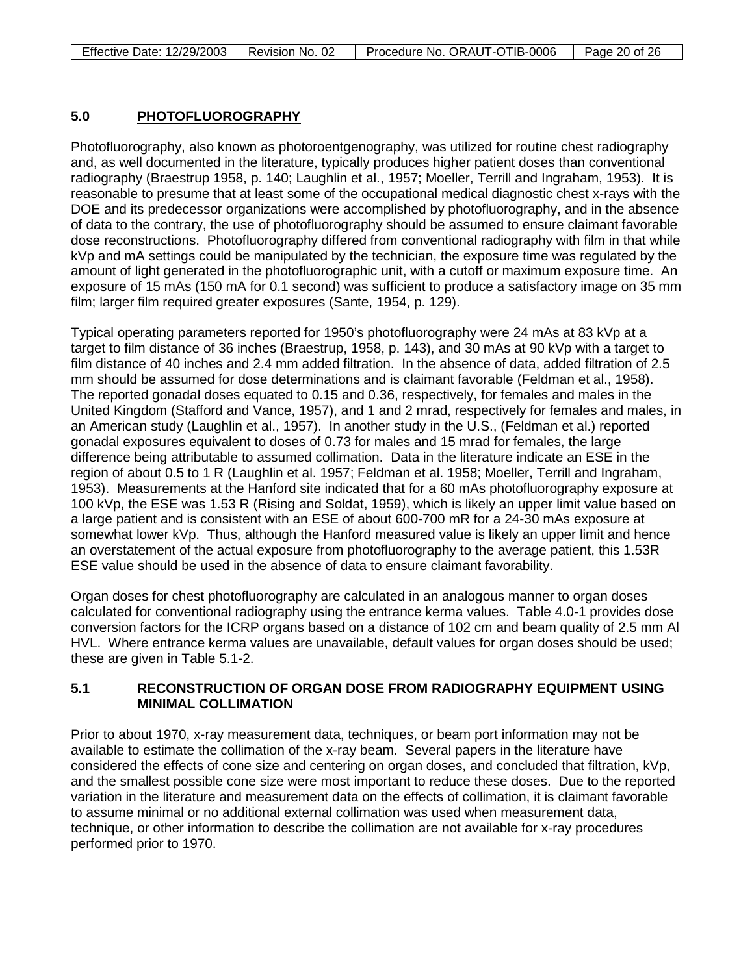#### <span id="page-19-0"></span>**5.0 PHOTOFLUOROGRAPHY**

Photofluorography, also known as photoroentgenography, was utilized for routine chest radiography and, as well documented in the literature, typically produces higher patient doses than conventional radiography (Braestrup 1958, p. 140; Laughlin et al., 1957; Moeller, Terrill and Ingraham, 1953). It is reasonable to presume that at least some of the occupational medical diagnostic chest x-rays with the DOE and its predecessor organizations were accomplished by photofluorography, and in the absence of data to the contrary, the use of photofluorography should be assumed to ensure claimant favorable dose reconstructions. Photofluorography differed from conventional radiography with film in that while kVp and mA settings could be manipulated by the technician, the exposure time was regulated by the amount of light generated in the photofluorographic unit, with a cutoff or maximum exposure time. An exposure of 15 mAs (150 mA for 0.1 second) was sufficient to produce a satisfactory image on 35 mm film; larger film required greater exposures (Sante, 1954, p. 129).

Typical operating parameters reported for 1950's photofluorography were 24 mAs at 83 kVp at a target to film distance of 36 inches (Braestrup, 1958, p. 143), and 30 mAs at 90 kVp with a target to film distance of 40 inches and 2.4 mm added filtration. In the absence of data, added filtration of 2.5 mm should be assumed for dose determinations and is claimant favorable (Feldman et al., 1958). The reported gonadal doses equated to 0.15 and 0.36, respectively, for females and males in the United Kingdom (Stafford and Vance, 1957), and 1 and 2 mrad, respectively for females and males, in an American study (Laughlin et al., 1957). In another study in the U.S., (Feldman et al.) reported gonadal exposures equivalent to doses of 0.73 for males and 15 mrad for females, the large difference being attributable to assumed collimation. Data in the literature indicate an ESE in the region of about 0.5 to 1 R (Laughlin et al. 1957; Feldman et al. 1958; Moeller, Terrill and Ingraham, 1953). Measurements at the Hanford site indicated that for a 60 mAs photofluorography exposure at 100 kVp, the ESE was 1.53 R (Rising and Soldat, 1959), which is likely an upper limit value based on a large patient and is consistent with an ESE of about 600-700 mR for a 24-30 mAs exposure at somewhat lower kVp. Thus, although the Hanford measured value is likely an upper limit and hence an overstatement of the actual exposure from photofluorography to the average patient, this 1.53R ESE value should be used in the absence of data to ensure claimant favorability.

Organ doses for chest photofluorography are calculated in an analogous manner to organ doses calculated for conventional radiography using the entrance kerma values. Table 4.0-1 provides dose conversion factors for the ICRP organs based on a distance of 102 cm and beam quality of 2.5 mm Al HVL. Where entrance kerma values are unavailable, default values for organ doses should be used; these are given in Table 5.1-2.

### <span id="page-19-1"></span>**5.1 RECONSTRUCTION OF ORGAN DOSE FROM RADIOGRAPHY EQUIPMENT USING MINIMAL COLLIMATION**

Prior to about 1970, x-ray measurement data, techniques, or beam port information may not be available to estimate the collimation of the x-ray beam. Several papers in the literature have considered the effects of cone size and centering on organ doses, and concluded that filtration, kVp, and the smallest possible cone size were most important to reduce these doses. Due to the reported variation in the literature and measurement data on the effects of collimation, it is claimant favorable to assume minimal or no additional external collimation was used when measurement data, technique, or other information to describe the collimation are not available for x-ray procedures performed prior to 1970.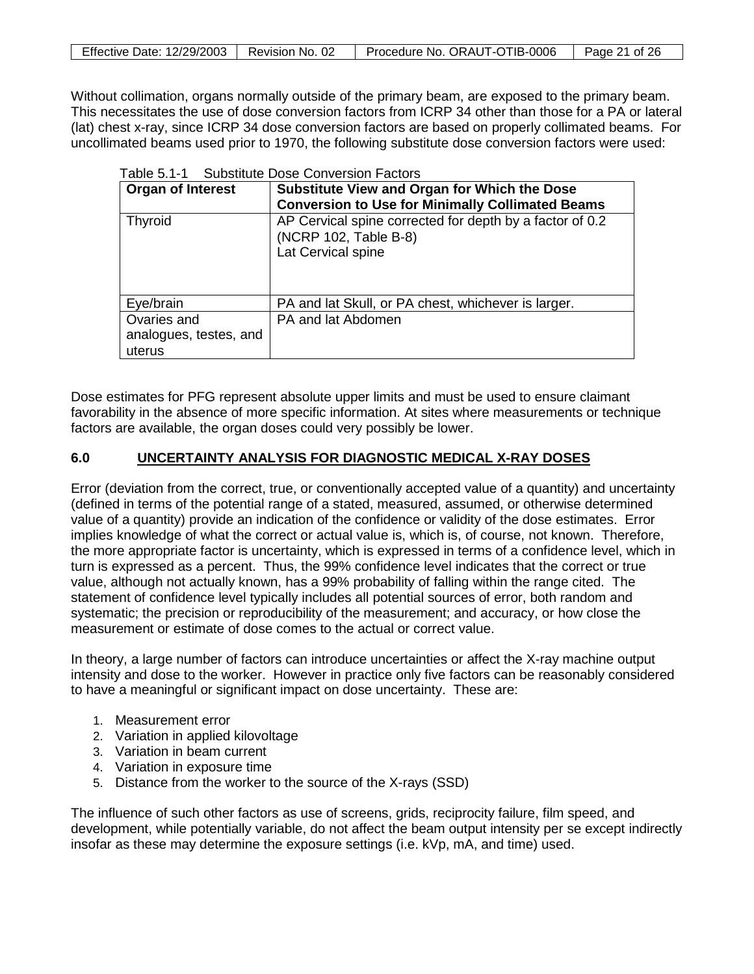| Effective Date: 12/29/2003   Revision No. 02 | Procedure No. ORAUT-OTIB-0006 | Page 21 of 26 |
|----------------------------------------------|-------------------------------|---------------|

Without collimation, organs normally outside of the primary beam, are exposed to the primary beam. This necessitates the use of dose conversion factors from ICRP 34 other than those for a PA or lateral (lat) chest x-ray, since ICRP 34 dose conversion factors are based on properly collimated beams. For uncollimated beams used prior to 1970, the following substitute dose conversion factors were used:

<span id="page-20-1"></span>

|                          | Table 5.1-1 Substitute Dose Conversion Factors                                                          |  |  |  |
|--------------------------|---------------------------------------------------------------------------------------------------------|--|--|--|
| <b>Organ of Interest</b> | Substitute View and Organ for Which the Dose                                                            |  |  |  |
|                          | <b>Conversion to Use for Minimally Collimated Beams</b>                                                 |  |  |  |
| <b>Thyroid</b>           | AP Cervical spine corrected for depth by a factor of 0.2<br>(NCRP 102, Table B-8)<br>Lat Cervical spine |  |  |  |
| Eye/brain                | PA and lat Skull, or PA chest, whichever is larger.                                                     |  |  |  |
| Ovaries and              | PA and lat Abdomen                                                                                      |  |  |  |
| analogues, testes, and   |                                                                                                         |  |  |  |
| uterus                   |                                                                                                         |  |  |  |

Dose estimates for PFG represent absolute upper limits and must be used to ensure claimant favorability in the absence of more specific information. At sites where measurements or technique factors are available, the organ doses could very possibly be lower.

#### <span id="page-20-0"></span>**6.0 UNCERTAINTY ANALYSIS FOR DIAGNOSTIC MEDICAL X-RAY DOSES**

Error (deviation from the correct, true, or conventionally accepted value of a quantity) and uncertainty (defined in terms of the potential range of a stated, measured, assumed, or otherwise determined value of a quantity) provide an indication of the confidence or validity of the dose estimates. Error implies knowledge of what the correct or actual value is, which is, of course, not known. Therefore, the more appropriate factor is uncertainty, which is expressed in terms of a confidence level, which in turn is expressed as a percent. Thus, the 99% confidence level indicates that the correct or true value, although not actually known, has a 99% probability of falling within the range cited. The statement of confidence level typically includes all potential sources of error, both random and systematic; the precision or reproducibility of the measurement; and accuracy, or how close the measurement or estimate of dose comes to the actual or correct value.

In theory, a large number of factors can introduce uncertainties or affect the X-ray machine output intensity and dose to the worker. However in practice only five factors can be reasonably considered to have a meaningful or significant impact on dose uncertainty. These are:

- 1. Measurement error
- 2. Variation in applied kilovoltage
- 3. Variation in beam current
- 4. Variation in exposure time
- 5. Distance from the worker to the source of the X-rays (SSD)

The influence of such other factors as use of screens, grids, reciprocity failure, film speed, and development, while potentially variable, do not affect the beam output intensity per se except indirectly insofar as these may determine the exposure settings (i.e. kVp, mA, and time) used.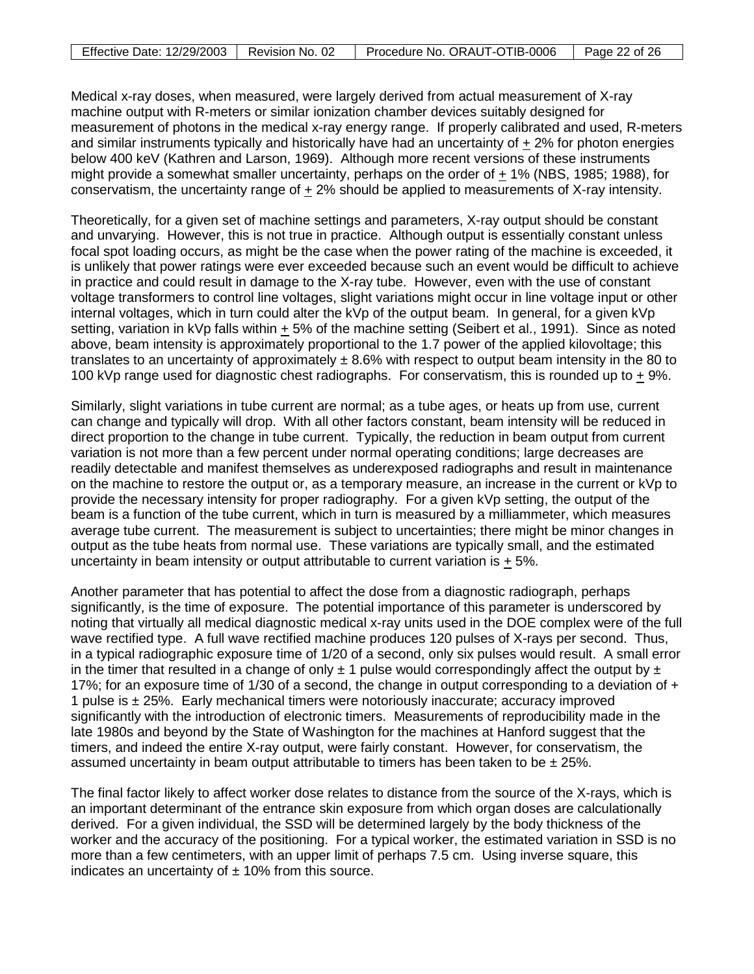| Effective Date: 12/29/2003   Revision No. 02 | Procedure No. ORAUT-OTIB-0006 | Page 22 of 26 |
|----------------------------------------------|-------------------------------|---------------|

Medical x-ray doses, when measured, were largely derived from actual measurement of X-ray machine output with R-meters or similar ionization chamber devices suitably designed for measurement of photons in the medical x-ray energy range. If properly calibrated and used, R-meters and similar instruments typically and historically have had an uncertainty of  $+2\%$  for photon energies below 400 keV (Kathren and Larson, 1969). Although more recent versions of these instruments might provide a somewhat smaller uncertainty, perhaps on the order of + 1% (NBS, 1985; 1988), for conservatism, the uncertainty range of + 2% should be applied to measurements of X-ray intensity.

Theoretically, for a given set of machine settings and parameters, X-ray output should be constant and unvarying. However, this is not true in practice. Although output is essentially constant unless focal spot loading occurs, as might be the case when the power rating of the machine is exceeded, it is unlikely that power ratings were ever exceeded because such an event would be difficult to achieve in practice and could result in damage to the X-ray tube. However, even with the use of constant voltage transformers to control line voltages, slight variations might occur in line voltage input or other internal voltages, which in turn could alter the kVp of the output beam. In general, for a given kVp setting, variation in kVp falls within + 5% of the machine setting (Seibert et al., 1991). Since as noted above, beam intensity is approximately proportional to the 1.7 power of the applied kilovoltage; this translates to an uncertainty of approximately  $\pm$  8.6% with respect to output beam intensity in the 80 to 100 kVp range used for diagnostic chest radiographs. For conservatism, this is rounded up to  $\pm$  9%.

Similarly, slight variations in tube current are normal; as a tube ages, or heats up from use, current can change and typically will drop. With all other factors constant, beam intensity will be reduced in direct proportion to the change in tube current. Typically, the reduction in beam output from current variation is not more than a few percent under normal operating conditions; large decreases are readily detectable and manifest themselves as underexposed radiographs and result in maintenance on the machine to restore the output or, as a temporary measure, an increase in the current or kVp to provide the necessary intensity for proper radiography. For a given kVp setting, the output of the beam is a function of the tube current, which in turn is measured by a milliammeter, which measures average tube current. The measurement is subject to uncertainties; there might be minor changes in output as the tube heats from normal use. These variations are typically small, and the estimated uncertainty in beam intensity or output attributable to current variation is  $+5\%$ .

Another parameter that has potential to affect the dose from a diagnostic radiograph, perhaps significantly, is the time of exposure. The potential importance of this parameter is underscored by noting that virtually all medical diagnostic medical x-ray units used in the DOE complex were of the full wave rectified type. A full wave rectified machine produces 120 pulses of X-rays per second. Thus, in a typical radiographic exposure time of 1/20 of a second, only six pulses would result. A small error in the timer that resulted in a change of only  $\pm$  1 pulse would correspondingly affect the output by  $\pm$ 17%; for an exposure time of 1/30 of a second, the change in output corresponding to a deviation of + 1 pulse is  $\pm$  25%. Early mechanical timers were notoriously inaccurate; accuracy improved significantly with the introduction of electronic timers. Measurements of reproducibility made in the late 1980s and beyond by the State of Washington for the machines at Hanford suggest that the timers, and indeed the entire X-ray output, were fairly constant. However, for conservatism, the assumed uncertainty in beam output attributable to timers has been taken to be  $\pm$  25%.

The final factor likely to affect worker dose relates to distance from the source of the X-rays, which is an important determinant of the entrance skin exposure from which organ doses are calculationally derived. For a given individual, the SSD will be determined largely by the body thickness of the worker and the accuracy of the positioning. For a typical worker, the estimated variation in SSD is no more than a few centimeters, with an upper limit of perhaps 7.5 cm. Using inverse square, this indicates an uncertainty of  $\pm$  10% from this source.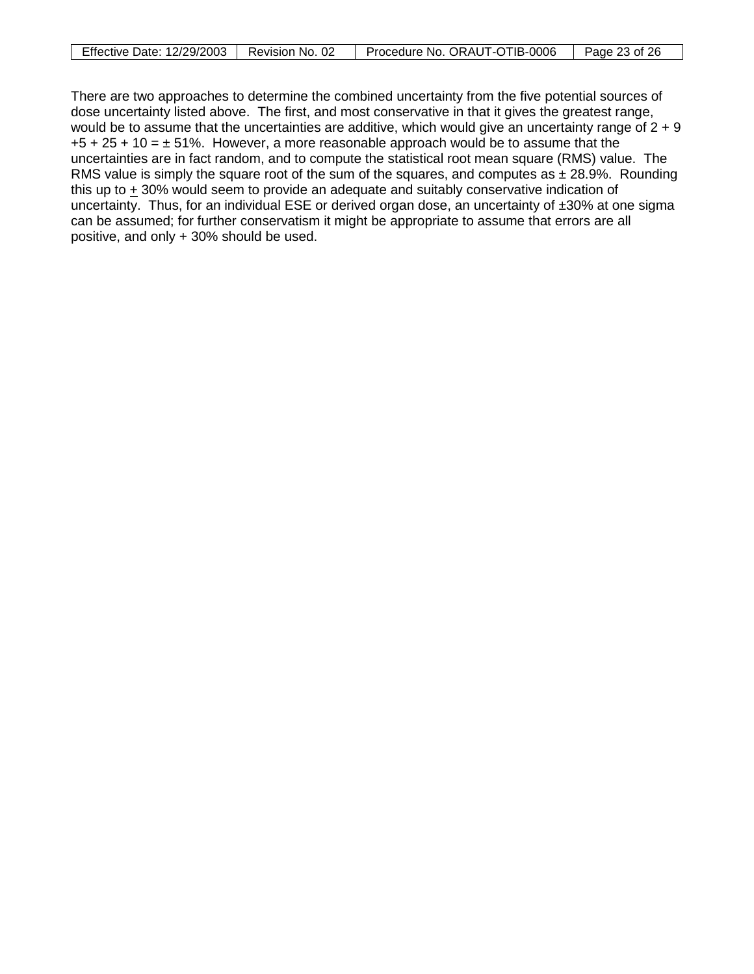| Effective Date: 12/29/2003 | Revision No. 02 | Procedure No. ORAUT-OTIB-0006 | Page 23 of 26 |
|----------------------------|-----------------|-------------------------------|---------------|

There are two approaches to determine the combined uncertainty from the five potential sources of dose uncertainty listed above. The first, and most conservative in that it gives the greatest range, would be to assume that the uncertainties are additive, which would give an uncertainty range of  $2 + 9$  $+5 + 25 + 10 = \pm 51\%$ . However, a more reasonable approach would be to assume that the uncertainties are in fact random, and to compute the statistical root mean square (RMS) value. The RMS value is simply the square root of the sum of the squares, and computes as  $\pm$  28.9%. Rounding this up to + 30% would seem to provide an adequate and suitably conservative indication of uncertainty. Thus, for an individual ESE or derived organ dose, an uncertainty of  $\pm 30\%$  at one sigma can be assumed; for further conservatism it might be appropriate to assume that errors are all positive, and only + 30% should be used.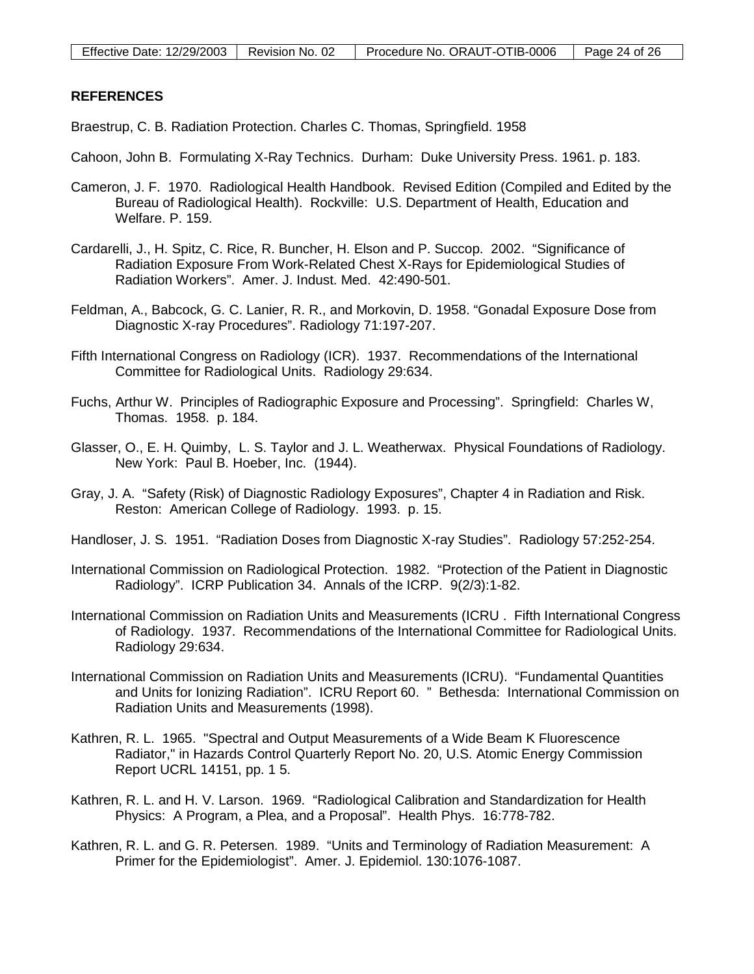### <span id="page-23-0"></span>**REFERENCES**

Braestrup, C. B. Radiation Protection. Charles C. Thomas, Springfield. 1958

- Cahoon, John B. Formulating X-Ray Technics. Durham: Duke University Press. 1961. p. 183.
- Cameron, J. F. 1970. Radiological Health Handbook. Revised Edition (Compiled and Edited by the Bureau of Radiological Health). Rockville: U.S. Department of Health, Education and Welfare. P. 159.
- Cardarelli, J., H. Spitz, C. Rice, R. Buncher, H. Elson and P. Succop. 2002. "Significance of Radiation Exposure From Work-Related Chest X-Rays for Epidemiological Studies of Radiation Workers". Amer. J. Indust. Med. 42:490-501.
- Feldman, A., Babcock, G. C. Lanier, R. R., and Morkovin, D. 1958. "Gonadal Exposure Dose from Diagnostic X-ray Procedures". Radiology 71:197-207.
- Fifth International Congress on Radiology (ICR). 1937. Recommendations of the International Committee for Radiological Units. Radiology 29:634.
- Fuchs, Arthur W. Principles of Radiographic Exposure and Processing". Springfield: Charles W, Thomas. 1958. p. 184.
- Glasser, O., E. H. Quimby, L. S. Taylor and J. L. Weatherwax. Physical Foundations of Radiology. New York: Paul B. Hoeber, Inc. (1944).
- Gray, J. A. "Safety (Risk) of Diagnostic Radiology Exposures", Chapter 4 in Radiation and Risk. Reston: American College of Radiology. 1993. p. 15.
- Handloser, J. S. 1951. "Radiation Doses from Diagnostic X-ray Studies". Radiology 57:252-254.
- International Commission on Radiological Protection. 1982. "Protection of the Patient in Diagnostic Radiology". ICRP Publication 34. Annals of the ICRP. 9(2/3):1-82.
- International Commission on Radiation Units and Measurements (ICRU . Fifth International Congress of Radiology. 1937. Recommendations of the International Committee for Radiological Units. Radiology 29:634.
- International Commission on Radiation Units and Measurements (ICRU). "Fundamental Quantities and Units for Ionizing Radiation". ICRU Report 60. " Bethesda: International Commission on Radiation Units and Measurements (1998).
- Kathren, R. L. 1965. "Spectral and Output Measurements of a Wide Beam K Fluorescence Radiator," in Hazards Control Quarterly Report No. 20, U.S. Atomic Energy Commission Report UCRL 14151, pp. 1 5.
- Kathren, R. L. and H. V. Larson. 1969. "Radiological Calibration and Standardization for Health Physics: A Program, a Plea, and a Proposal". Health Phys. 16:778-782.
- Kathren, R. L. and G. R. Petersen. 1989. "Units and Terminology of Radiation Measurement: A Primer for the Epidemiologist". Amer. J. Epidemiol. 130:1076-1087.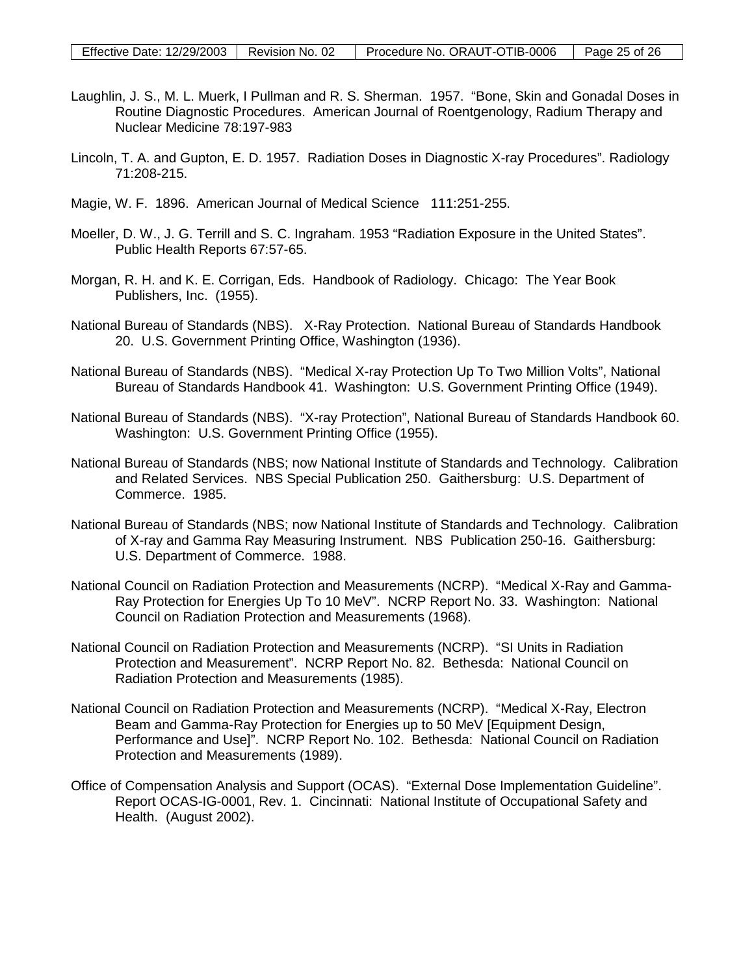- Laughlin, J. S., M. L. Muerk, I Pullman and R. S. Sherman. 1957. "Bone, Skin and Gonadal Doses in Routine Diagnostic Procedures. American Journal of Roentgenology, Radium Therapy and Nuclear Medicine 78:197-983
- Lincoln, T. A. and Gupton, E. D. 1957. Radiation Doses in Diagnostic X-ray Procedures". Radiology 71:208-215.
- Magie, W. F. 1896. American Journal of Medical Science 111:251-255.
- Moeller, D. W., J. G. Terrill and S. C. Ingraham. 1953 "Radiation Exposure in the United States". Public Health Reports 67:57-65.
- Morgan, R. H. and K. E. Corrigan, Eds. Handbook of Radiology. Chicago: The Year Book Publishers, Inc. (1955).
- National Bureau of Standards (NBS). X-Ray Protection. National Bureau of Standards Handbook 20. U.S. Government Printing Office, Washington (1936).
- National Bureau of Standards (NBS). "Medical X-ray Protection Up To Two Million Volts", National Bureau of Standards Handbook 41. Washington: U.S. Government Printing Office (1949).
- National Bureau of Standards (NBS). "X-ray Protection", National Bureau of Standards Handbook 60. Washington: U.S. Government Printing Office (1955).
- National Bureau of Standards (NBS; now National Institute of Standards and Technology. Calibration and Related Services. NBS Special Publication 250. Gaithersburg: U.S. Department of Commerce. 1985.
- National Bureau of Standards (NBS; now National Institute of Standards and Technology. Calibration of X-ray and Gamma Ray Measuring Instrument. NBS Publication 250-16. Gaithersburg: U.S. Department of Commerce. 1988.
- National Council on Radiation Protection and Measurements (NCRP). "Medical X-Ray and Gamma-Ray Protection for Energies Up To 10 MeV". NCRP Report No. 33. Washington: National Council on Radiation Protection and Measurements (1968).
- National Council on Radiation Protection and Measurements (NCRP). "SI Units in Radiation Protection and Measurement". NCRP Report No. 82. Bethesda: National Council on Radiation Protection and Measurements (1985).
- National Council on Radiation Protection and Measurements (NCRP). "Medical X-Ray, Electron Beam and Gamma-Ray Protection for Energies up to 50 MeV [Equipment Design, Performance and Use]". NCRP Report No. 102. Bethesda: National Council on Radiation Protection and Measurements (1989).
- Office of Compensation Analysis and Support (OCAS). "External Dose Implementation Guideline". Report OCAS-IG-0001, Rev. 1. Cincinnati: National Institute of Occupational Safety and Health. (August 2002).